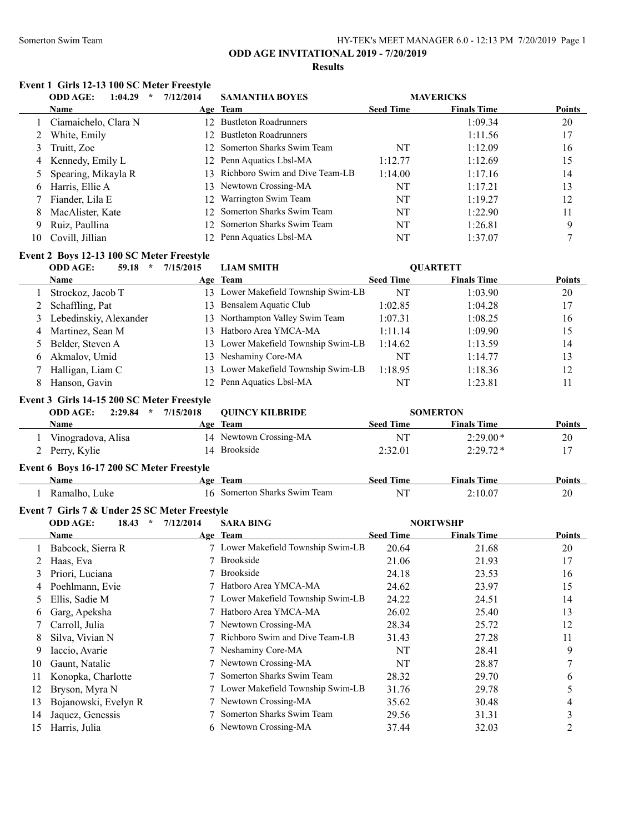#### Somerton Swim Team Team HY-TEK's MEET MANAGER 6.0 - 12:13 PM 7/20/2019 Page 1

# **ODD AGE INVITATIONAL 2019 - 7/20/2019**

#### **Results**

#### **Event 1 Girls 12-13 100 SC Meter Freestyle**

| <b>ODD AGE:</b><br>1:04.29<br>$\star$ | 7/12/2014                                                                            | <b>SAMANTHA BOYES</b> |                                                                                                                                                                                                                                                  |                    |                  |
|---------------------------------------|--------------------------------------------------------------------------------------|-----------------------|--------------------------------------------------------------------------------------------------------------------------------------------------------------------------------------------------------------------------------------------------|--------------------|------------------|
| <b>Name</b>                           |                                                                                      |                       | <b>Seed Time</b>                                                                                                                                                                                                                                 | <b>Finals Time</b> | <b>Points</b>    |
|                                       |                                                                                      |                       |                                                                                                                                                                                                                                                  | 1:09.34            | 20               |
| White, Emily                          |                                                                                      |                       |                                                                                                                                                                                                                                                  | 1:11.56            | 17               |
| Truitt, Zoe                           |                                                                                      |                       | NT                                                                                                                                                                                                                                               | 1:12.09            | 16               |
|                                       |                                                                                      | Penn Aquatics Lbsl-MA | 1:12.77                                                                                                                                                                                                                                          | 1:12.69            | 15               |
|                                       |                                                                                      |                       | 1:14.00                                                                                                                                                                                                                                          | 1:17.16            | 14               |
| Harris, Ellie A                       |                                                                                      |                       | NT                                                                                                                                                                                                                                               | 1:17.21            | 13               |
| Fiander, Lila E                       | 12.                                                                                  | Warrington Swim Team  | NT                                                                                                                                                                                                                                               | 1:19.27            | 12               |
| MacAlister, Kate                      |                                                                                      |                       | NT                                                                                                                                                                                                                                               | 1:22.90            | 11               |
| Ruiz, Paullina                        |                                                                                      |                       | NT                                                                                                                                                                                                                                               | 1:26.81            | 9                |
| Covill, Jillian                       |                                                                                      | Penn Aquatics Lbsl-MA | NT                                                                                                                                                                                                                                               | 1:37.07            |                  |
|                                       | 1 Ciamaichelo, Clara N<br>3<br>4 Kennedy, Emily L<br>5 Spearing, Mikayla R<br>8<br>9 |                       | Age Team<br>12 Bustleton Roadrunners<br>12 Bustleton Roadrunners<br>12 Somerton Sharks Swim Team<br>12.<br>13 Richboro Swim and Dive Team-LB<br>13 Newtown Crossing-MA<br>12 Somerton Sharks Swim Team<br>12 Somerton Sharks Swim Team<br>$12 -$ |                    | <b>MAVERICKS</b> |

## **Event 2 Boys 12-13 100 SC Meter Freestyle**

| <b>ODD AGE:</b><br>59.18<br>$\star$ | 7/15/2015 | <b>LIAM SMITH</b>                   |                  | <b>OUARTETT</b>    |               |
|-------------------------------------|-----------|-------------------------------------|------------------|--------------------|---------------|
| <b>Name</b>                         |           | Age Team                            | <b>Seed Time</b> | <b>Finals Time</b> | <b>Points</b> |
| Strockoz, Jacob T                   |           | 13 Lower Makefield Township Swim-LB | NT               | 1:03.90            | 20            |
| 2 Schaffling, Pat                   | 13.       | Bensalem Aquatic Club               | 1:02.85          | 1:04.28            | 17            |
| 3 Lebedinskiy, Alexander            |           | 13 Northampton Valley Swim Team     | 1:07.31          | 1:08.25            | 16            |
| 4 Martinez, Sean M                  | 13.       | Hatboro Area YMCA-MA                | 1:11.14          | 1:09.90            | 15            |
| 5 Belder, Steven A                  |           | 13 Lower Makefield Township Swim-LB | 1:14.62          | 1:13.59            | 14            |
| 6 Akmalov, Umid                     |           | 13 Neshaminy Core-MA                | NT               | 1:14.77            | 13            |
| Halligan, Liam C                    |           | 13 Lower Makefield Township Swim-LB | 1:18.95          | 1:18.36            | 12            |
| Hanson, Gavin                       |           | 12 Penn Aquatics Lbsl-MA            | NT               | 1:23.81            | 11            |

## **Event 3 Girls 14-15 200 SC Meter Freestyle**

| <b>ODD AGE:</b><br>2:29.84<br>$\star$ | 7/15/2018<br><b>OUINCY KILBRIDE</b> | <b>SOMERTON</b> |                    |               |
|---------------------------------------|-------------------------------------|-----------------|--------------------|---------------|
| Name                                  | Age Team                            | Seed Time       | <b>Finals Time</b> | <b>Points</b> |
| Vinogradova, Alisa                    | 14 Newtown Crossing-MA              | NT              | $2:29.00*$         | 20            |
| 2 Perry, Kylie                        | 14 Brookside                        | 2:32.01         | $2:29.72*$         |               |
|                                       |                                     |                 |                    |               |

## **Event 6 Boys 16-17 200 SC Meter Freestyle**

| Name            | Team<br>Age               | .<br>ıme<br>seer | --<br>Time<br>Finals | <b>Points</b> |
|-----------------|---------------------------|------------------|----------------------|---------------|
| Luke<br>Ramalho | Somerton Sharks Swim Team | N.               | $\sim$ $\sim$        | 20<br>$\sim$  |

## **Event 7 Girls 7 & Under 25 SC Meter Freestyle**

|    | $\star$<br><b>ODD AGE:</b><br>18.43 | 7/12/2014 | <b>SARA BING</b>                   |                  | <b>NORTWSHP</b>    |               |  |
|----|-------------------------------------|-----------|------------------------------------|------------------|--------------------|---------------|--|
|    | <b>Name</b>                         |           | Age Team                           | <b>Seed Time</b> | <b>Finals Time</b> | <b>Points</b> |  |
|    | Babcock, Sierra R                   |           | Lower Makefield Township Swim-LB   | 20.64            | 21.68              | 20            |  |
|    | Haas, Eva                           |           | <b>Brookside</b>                   | 21.06            | 21.93              | 17            |  |
| 3  | Priori, Luciana                     |           | <b>Brookside</b>                   | 24.18            | 23.53              | 16            |  |
| 4  | Poehlmann, Evie                     |           | Hatboro Area YMCA-MA               | 24.62            | 23.97              | 15            |  |
| 5. | Ellis, Sadie M                      |           | 7 Lower Makefield Township Swim-LB | 24.22            | 24.51              | 14            |  |
| 6  | Garg, Apeksha                       |           | Hatboro Area YMCA-MA               | 26.02            | 25.40              | 13            |  |
|    | Carroll, Julia                      |           | 7 Newtown Crossing-MA              | 28.34            | 25.72              | 12            |  |
| 8  | Silva, Vivian N                     |           | Richboro Swim and Dive Team-LB     | 31.43            | 27.28              | 11            |  |
| 9  | Iaccio, Avarie                      |           | Neshaminy Core-MA                  | NT               | 28.41              | 9             |  |
| 10 | Gaunt, Natalie                      |           | 7 Newtown Crossing-MA              | NT               | 28.87              |               |  |
| 11 | Konopka, Charlotte                  |           | Somerton Sharks Swim Team          | 28.32            | 29.70              | b             |  |
| 12 | Bryson, Myra N                      |           | 7 Lower Makefield Township Swim-LB | 31.76            | 29.78              | 5             |  |
| 13 | Bojanowski, Evelyn R                |           | Newtown Crossing-MA                | 35.62            | 30.48              | 4             |  |
| 14 | Jaquez, Genessis                    |           | Somerton Sharks Swim Team          | 29.56            | 31.31              |               |  |
| 15 | Harris, Julia                       |           | 6 Newtown Crossing-MA              | 37.44            | 32.03              |               |  |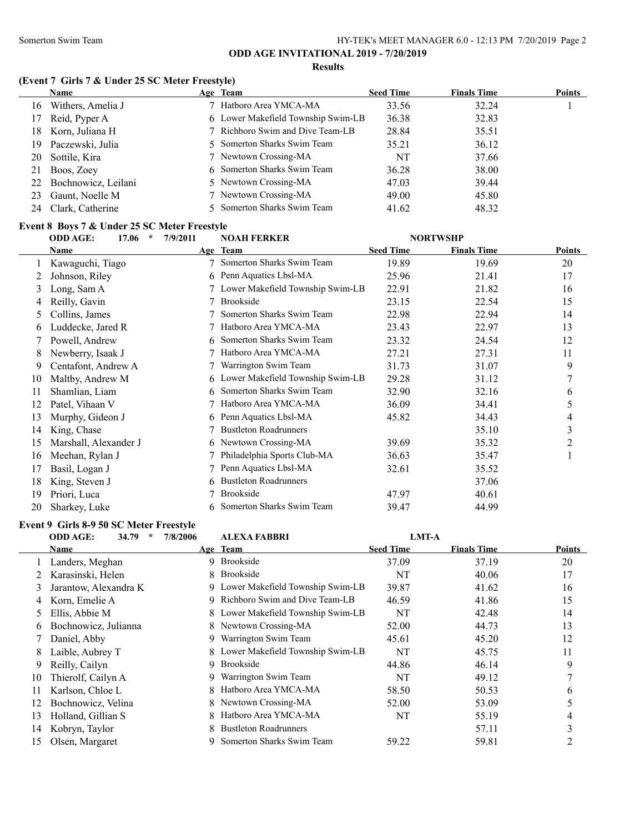#### **Results**

#### **(Event 7 Girls 7 & Under 25 SC Meter Freestyle)**

|     | <b>Name</b>         | Age Team                           | <b>Seed Time</b> | <b>Finals Time</b> | <b>Points</b> |
|-----|---------------------|------------------------------------|------------------|--------------------|---------------|
| 16  | Withers, Amelia J   | 7 Hatboro Area YMCA-MA             | 33.56            | 32.24              |               |
| 17  | Reid, Pyper A       | 6 Lower Makefield Township Swim-LB | 36.38            | 32.83              |               |
| 18. | Korn, Juliana H     | 7 Richboro Swim and Dive Team-LB   | 28.84            | 35.51              |               |
| 19. | Paczewski, Julia    | 5 Somerton Sharks Swim Team        | 35.21            | 36.12              |               |
| 20  | Sottile, Kira       | 7 Newtown Crossing-MA              | NT               | 37.66              |               |
| 21  | Boos, Zoey          | 6 Somerton Sharks Swim Team        | 36.28            | 38.00              |               |
| 22  | Bochnowicz, Leilani | 5 Newtown Crossing-MA              | 47.03            | 39.44              |               |
| 23  | Gaunt, Noelle M     | 7 Newtown Crossing-MA              | 49.00            | 45.80              |               |
| 24  | Clark, Catherine    | 5 Somerton Sharks Swim Team        | 41.62            | 48.32              |               |

# **Event 8 Boys 7 & Under 25 SC Meter Freestyle**

|    | <b>ODD AGE:</b><br>17.06<br>$\star$ | 7/9/2011 | <b>NOAH FERKER</b>                 |                  | <b>NORTWSHP</b>    |                |
|----|-------------------------------------|----------|------------------------------------|------------------|--------------------|----------------|
|    | Name                                |          | Age Team                           | <b>Seed Time</b> | <b>Finals Time</b> | Points         |
|    | Kawaguchi, Tiago                    |          | Somerton Sharks Swim Team          | 19.89            | 19.69              | 20             |
|    | Johnson, Riley                      |          | 6 Penn Aquatics Lbsl-MA            | 25.96            | 21.41              | 17             |
| 3  | Long, Sam A                         |          | 7 Lower Makefield Township Swim-LB | 22.91            | 21.82              | 16             |
| 4  | Reilly, Gavin                       |          | <b>Brookside</b>                   | 23.15            | 22.54              | 15             |
| 5  | Collins, James                      |          | Somerton Sharks Swim Team          | 22.98            | 22.94              | 14             |
| 6  | Luddecke, Jared R                   |          | Hatboro Area YMCA-MA               | 23.43            | 22.97              | 13             |
|    | Powell, Andrew                      |          | Somerton Sharks Swim Team          | 23.32            | 24.54              | 12             |
| 8  | Newberry, Isaak J                   |          | Hatboro Area YMCA-MA               | 27.21            | 27.31              | 11             |
| 9  | Centafont, Andrew A                 |          | Warrington Swim Team               | 31.73            | 31.07              | 9              |
| 10 | Maltby, Andrew M                    |          | 6 Lower Makefield Township Swim-LB | 29.28            | 31.12              | 7              |
|    | Shamlian, Liam                      | 6.       | Somerton Sharks Swim Team          | 32.90            | 32.16              | 6              |
| 12 | Patel, Vihaan V                     |          | Hatboro Area YMCA-MA               | 36.09            | 34.41              | 5              |
| 13 | Murphy, Gideon J                    |          | 6 Penn Aquatics Lbsl-MA            | 45.82            | 34.43              | 4              |
| 14 | King, Chase                         |          | <b>Bustleton Roadrunners</b>       |                  | 35.10              | 3              |
| 15 | Marshall, Alexander J               |          | 6 Newtown Crossing-MA              | 39.69            | 35.32              | $\overline{2}$ |
| 16 | Meehan, Rylan J                     |          | Philadelphia Sports Club-MA        | 36.63            | 35.47              |                |
| 17 | Basil, Logan J                      |          | Penn Aquatics Lbsl-MA              | 32.61            | 35.52              |                |
| 18 | King, Steven J                      | 6        | <b>Bustleton Roadrunners</b>       |                  | 37.06              |                |
| 19 | Priori, Luca                        |          | <b>Brookside</b>                   | 47.97            | 40.61              |                |
| 20 | Sharkey, Luke                       |          | 6 Somerton Sharks Swim Team        | 39.47            | 44.99              |                |

## **Event 9 Girls 8-9 50 SC Meter Freestyle**

## **ODD AGE: 34.79 \* 7/8/2006 ALEXA FABBRI LMT-A**

|    | Name                  |    | Age Team                           | <b>Seed Time</b> | <b>Finals Time</b> | <b>Points</b> |
|----|-----------------------|----|------------------------------------|------------------|--------------------|---------------|
|    | Landers, Meghan       |    | 9 Brookside                        | 37.09            | 37.19              | 20            |
|    | Karasinski, Helen     | 8. | <b>Brookside</b>                   | NT               | 40.06              | 17            |
| 3  | Jarantow, Alexandra K |    | 9 Lower Makefield Township Swim-LB | 39.87            | 41.62              | 16            |
| 4  | Korn, Emelie A        | 9. | Richboro Swim and Dive Team-LB     | 46.59            | 41.86              | 15            |
| 5  | Ellis, Abbie M        |    | 8 Lower Makefield Township Swim-LB | NT               | 42.48              | 14            |
| 6  | Bochnowicz, Julianna  |    | 8 Newtown Crossing-MA              | 52.00            | 44.73              | 13            |
|    | Daniel, Abby          | 9  | Warrington Swim Team               | 45.61            | 45.20              | 12            |
| 8  | Laible, Aubrey T      |    | 8 Lower Makefield Township Swim-LB | NT               | 45.75              | 11            |
| 9  | Reilly, Cailyn        | 9  | <b>Brookside</b>                   | 44.86            | 46.14              | 9             |
| 10 | Thierolf, Cailyn A    | 9. | Warrington Swim Team               | NT               | 49.12              |               |
| 11 | Karlson, Chloe L      | 8. | Hatboro Area YMCA-MA               | 58.50            | 50.53              | 6             |
| 12 | Bochnowicz, Velina    |    | 8 Newtown Crossing-MA              | 52.00            | 53.09              |               |
| 13 | Holland, Gillian S    |    | Hatboro Area YMCA-MA               | NT               | 55.19              | 4             |
| 14 | Kobryn, Taylor        | 8. | <b>Bustleton Roadrunners</b>       |                  | 57.11              |               |
| 15 | Olsen, Margaret       |    | Somerton Sharks Swim Team          | 59.22            | 59.81              |               |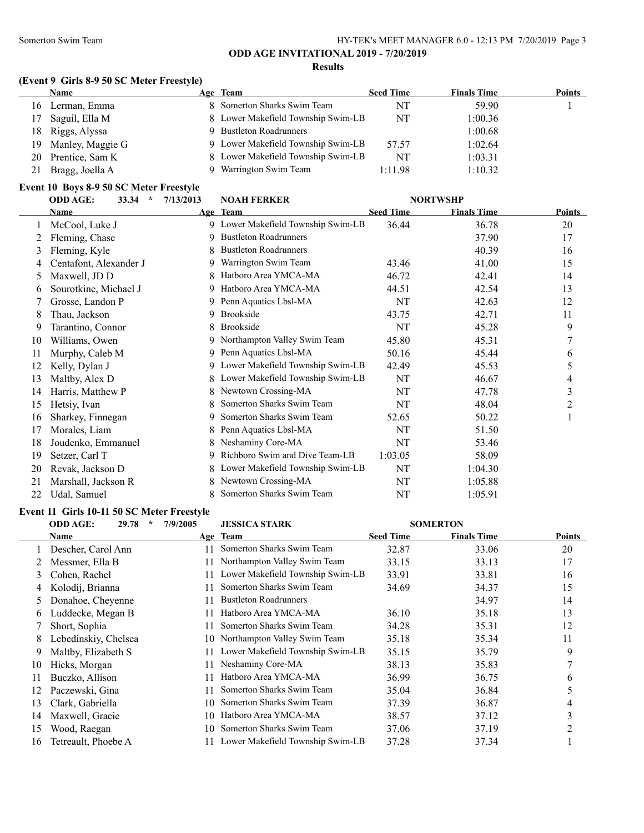## **(Event 9 Girls 8-9 50 SC Meter Freestyle)**

|     | Name             | Age Team                           | <b>Seed Time</b> | <b>Finals Time</b> | <b>Points</b> |
|-----|------------------|------------------------------------|------------------|--------------------|---------------|
| 16  | Lerman, Emma     | 8 Somerton Sharks Swim Team        | NT               | 59.90              |               |
| 17  | Saguil, Ella M   | 8 Lower Makefield Township Swim-LB | NT               | 1:00.36            |               |
| 18  | Riggs, Alyssa    | <b>Bustleton Roadrunners</b>       |                  | 1:00.68            |               |
| 19. | Manley, Maggie G | 9 Lower Makefield Township Swim-LB | 57.57            | 1:02.64            |               |
| 20  | Prentice, Sam K  | 8 Lower Makefield Township Swim-LB | NT               | 1:03.31            |               |
|     | Bragg, Joella A  | Warrington Swim Team               | 1:11.98          | 1:10.32            |               |
|     |                  |                                    |                  |                    |               |

## **Event 10 Boys 8-9 50 SC Meter Freestyle**

|    | <b>ODD AGE:</b><br>33.34<br>$\star$ | 7/13/2013 | <b>NOAH FERKER</b>                 |                  | <b>NORTWSHP</b>    |        |
|----|-------------------------------------|-----------|------------------------------------|------------------|--------------------|--------|
|    | Name                                |           | Age Team                           | <b>Seed Time</b> | <b>Finals Time</b> | Points |
|    | McCool, Luke J                      |           | 9 Lower Makefield Township Swim-LB | 36.44            | 36.78              | 20     |
| 2  | Fleming, Chase                      | 9         | <b>Bustleton Roadrunners</b>       |                  | 37.90              | 17     |
| 3  | Fleming, Kyle                       |           | <b>Bustleton Roadrunners</b>       |                  | 40.39              | 16     |
|    | Centafont, Alexander J              | 9         | Warrington Swim Team               | 43.46            | 41.00              | 15     |
| 5  | Maxwell, JD D                       |           | Hatboro Area YMCA-MA               | 46.72            | 42.41              | 14     |
| 6  | Sourotkine, Michael J               |           | Hatboro Area YMCA-MA               | 44.51            | 42.54              | 13     |
|    | Grosse, Landon P                    |           | 9 Penn Aquatics Lbsl-MA            | NT               | 42.63              | 12     |
| 8  | Thau, Jackson                       | 9         | Brookside                          | 43.75            | 42.71              | 11     |
| 9  | Tarantino, Connor                   |           | <b>Brookside</b>                   | NT               | 45.28              | 9      |
| 10 | Williams, Owen                      | 9         | Northampton Valley Swim Team       | 45.80            | 45.31              | 7      |
| 11 | Murphy, Caleb M                     | 9         | Penn Aquatics Lbsl-MA              | 50.16            | 45.44              | 6      |
| 12 | Kelly, Dylan J                      | 9         | Lower Makefield Township Swim-LB   | 42.49            | 45.53              | 5      |
| 13 | Maltby, Alex D                      |           | Lower Makefield Township Swim-LB   | NT               | 46.67              | 4      |
| 14 | Harris, Matthew P                   |           | Newtown Crossing-MA                | NT               | 47.78              | 3      |
| 15 | Hetsiy, Ivan                        |           | Somerton Sharks Swim Team          | NT               | 48.04              | 2      |
| 16 | Sharkey, Finnegan                   | 9         | Somerton Sharks Swim Team          | 52.65            | 50.22              |        |
| 17 | Morales, Liam                       |           | Penn Aquatics Lbsl-MA              | NT               | 51.50              |        |
| 18 | Joudenko, Emmanuel                  |           | Neshaminy Core-MA                  | NT               | 53.46              |        |
| 19 | Setzer, Carl T                      | 9         | Richboro Swim and Dive Team-LB     | 1:03.05          | 58.09              |        |
| 20 | Revak, Jackson D                    |           | Lower Makefield Township Swim-LB   | NT               | 1:04.30            |        |
| 21 | Marshall, Jackson R                 |           | Newtown Crossing-MA                | NT               | 1:05.88            |        |
| 22 | Udal, Samuel                        |           | Somerton Sharks Swim Team          | NT               | 1:05.91            |        |

## **Event 11 Girls 10-11 50 SC Meter Freestyle**

|               | <b>ODD AGE:</b><br>29.78<br>$\star$ | 7/9/2005 | <b>JESSICA STARK</b>             |                  | <b>SOMERTON</b>    |                |
|---------------|-------------------------------------|----------|----------------------------------|------------------|--------------------|----------------|
|               | Name                                |          | Age Team                         | <b>Seed Time</b> | <b>Finals Time</b> | <b>Points</b>  |
|               | Descher, Carol Ann                  | 11       | Somerton Sharks Swim Team        | 32.87            | 33.06              | 20             |
|               | Messmer, Ella B                     | 11       | Northampton Valley Swim Team     | 33.15            | 33.13              | 17             |
| 3             | Cohen, Rachel                       | 11       | Lower Makefield Township Swim-LB | 33.91            | 33.81              | 16             |
| 4             | Kolodij, Brianna                    | 11       | Somerton Sharks Swim Team        | 34.69            | 34.37              | 15             |
| $\mathcal{L}$ | Donahoe, Cheyenne                   | 11       | <b>Bustleton Roadrunners</b>     |                  | 34.97              | 14             |
| 6             | Luddecke, Megan B                   | 11       | Hatboro Area YMCA-MA             | 36.10            | 35.18              | 13             |
|               | Short, Sophia                       |          | Somerton Sharks Swim Team        | 34.28            | 35.31              | 12             |
| 8.            | Lebedinskiy, Chelsea                | 10-      | Northampton Valley Swim Team     | 35.18            | 35.34              | 11             |
| 9             | Maltby, Elizabeth S                 |          | Lower Makefield Township Swim-LB | 35.15            | 35.79              | 9              |
| 10            | Hicks, Morgan                       | 11       | Neshaminy Core-MA                | 38.13            | 35.83              |                |
| 11            | Buczko, Allison                     | 11       | Hatboro Area YMCA-MA             | 36.99            | 36.75              | 6              |
| 12            | Paczewski, Gina                     | 11       | Somerton Sharks Swim Team        | 35.04            | 36.84              | 5              |
| 13            | Clark, Gabriella                    | 10       | Somerton Sharks Swim Team        | 37.39            | 36.87              | 4              |
| 14            | Maxwell, Gracie                     | 10       | Hatboro Area YMCA-MA             | 38.57            | 37.12              | 3              |
| 15            | Wood, Raegan                        | 10       | Somerton Sharks Swim Team        | 37.06            | 37.19              | $\overline{2}$ |
| 16            | Tetreault, Phoebe A                 |          | Lower Makefield Township Swim-LB | 37.28            | 37.34              |                |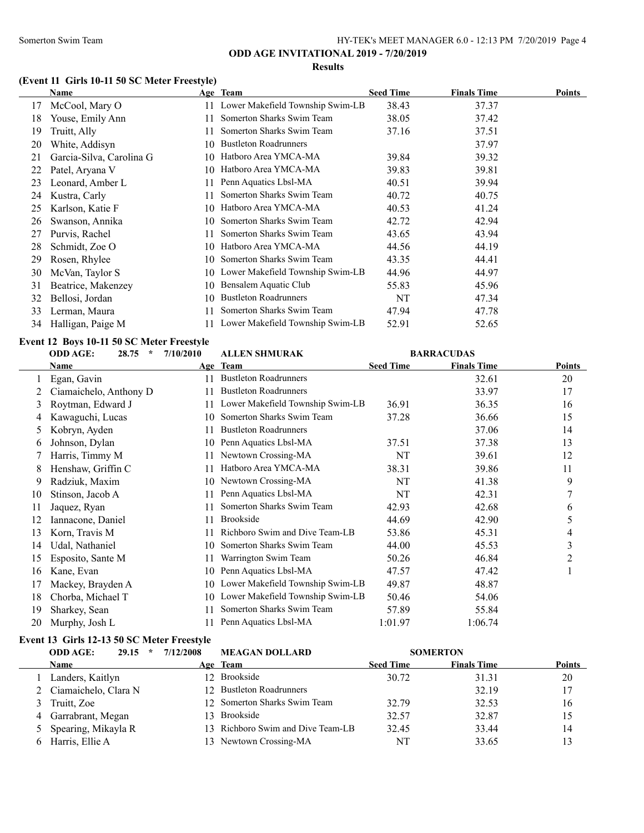#### **Results**

## **(Event 11 Girls 10-11 50 SC Meter Freestyle)**

|    | Name                     |     | Age Team                            | <b>Seed Time</b> | <b>Finals Time</b> | <b>Points</b> |
|----|--------------------------|-----|-------------------------------------|------------------|--------------------|---------------|
| 17 | McCool, Mary O           |     | 11 Lower Makefield Township Swim-LB | 38.43            | 37.37              |               |
| 18 | Youse, Emily Ann         | 11. | Somerton Sharks Swim Team           | 38.05            | 37.42              |               |
| 19 | Truitt, Ally             |     | Somerton Sharks Swim Team           | 37.16            | 37.51              |               |
| 20 | White, Addisyn           | 10  | <b>Bustleton Roadrunners</b>        |                  | 37.97              |               |
| 21 | Garcia-Silva, Carolina G | 10. | Hatboro Area YMCA-MA                | 39.84            | 39.32              |               |
| 22 | Patel, Aryana V          | 10  | Hatboro Area YMCA-MA                | 39.83            | 39.81              |               |
| 23 | Leonard, Amber L         | 11  | Penn Aquatics Lbsl-MA               | 40.51            | 39.94              |               |
| 24 | Kustra, Carly            | 11  | Somerton Sharks Swim Team           | 40.72            | 40.75              |               |
| 25 | Karlson, Katie F         | 10. | Hatboro Area YMCA-MA                | 40.53            | 41.24              |               |
| 26 | Swanson, Annika          | 10  | Somerton Sharks Swim Team           | 42.72            | 42.94              |               |
| 27 | Purvis, Rachel           |     | Somerton Sharks Swim Team           | 43.65            | 43.94              |               |
| 28 | Schmidt, Zoe O           | 10. | Hatboro Area YMCA-MA                | 44.56            | 44.19              |               |
| 29 | Rosen, Rhylee            | 10. | Somerton Sharks Swim Team           | 43.35            | 44.41              |               |
| 30 | McVan, Taylor S          |     | 10 Lower Makefield Township Swim-LB | 44.96            | 44.97              |               |
| 31 | Beatrice, Makenzey       | 10  | Bensalem Aquatic Club               | 55.83            | 45.96              |               |
| 32 | Bellosi, Jordan          | 10  | <b>Bustleton Roadrunners</b>        | NT               | 47.34              |               |
| 33 | Lerman, Maura            |     | Somerton Sharks Swim Team           | 47.94            | 47.78              |               |
| 34 | Halligan, Paige M        |     | 11 Lower Makefield Township Swim-LB | 52.91            | 52.65              |               |

#### **Event 12 Boys 10-11 50 SC Meter Freestyle**

|    | <b>ODD AGE:</b><br>$\star$<br>28.75 | 7/10/2010 | <b>ALLEN SHMURAK</b>             | <b>BARRACUDAS</b> |                    |               |
|----|-------------------------------------|-----------|----------------------------------|-------------------|--------------------|---------------|
|    | Name                                |           | Age Team                         | <b>Seed Time</b>  | <b>Finals Time</b> | <b>Points</b> |
|    | Egan, Gavin                         | 11        | <b>Bustleton Roadrunners</b>     |                   | 32.61              | 20            |
|    | Ciamaichelo, Anthony D              | 11        | <b>Bustleton Roadrunners</b>     |                   | 33.97              | 17            |
| 3  | Roytman, Edward J                   | 11        | Lower Makefield Township Swim-LB | 36.91             | 36.35              | 16            |
| 4  | Kawaguchi, Lucas                    | 10        | Somerton Sharks Swim Team        | 37.28             | 36.66              | 15            |
| 5  | Kobryn, Ayden                       | 11        | <b>Bustleton Roadrunners</b>     |                   | 37.06              | 14            |
| 6  | Johnson, Dylan                      | 10        | Penn Aquatics Lbsl-MA            | 37.51             | 37.38              | 13            |
|    | Harris, Timmy M                     | 11        | Newtown Crossing-MA              | NT                | 39.61              | 12            |
| 8  | Henshaw, Griffin C                  |           | Hatboro Area YMCA-MA             | 38.31             | 39.86              | 11            |
| 9  | Radziuk, Maxim                      | 10        | Newtown Crossing-MA              | NT                | 41.38              | 9             |
| 10 | Stinson, Jacob A                    | 11        | Penn Aquatics Lbsl-MA            | NT                | 42.31              | 7             |
| 11 | Jaquez, Ryan                        | 11        | Somerton Sharks Swim Team        | 42.93             | 42.68              | 6             |
| 12 | Iannacone, Daniel                   | 11        | <b>Brookside</b>                 | 44.69             | 42.90              | 5             |
| 13 | Korn, Travis M                      |           | Richboro Swim and Dive Team-LB   | 53.86             | 45.31              | 4             |
| 14 | Udal, Nathaniel                     | 10        | Somerton Sharks Swim Team        | 44.00             | 45.53              | 3             |
| 15 | Esposito, Sante M                   | 11        | Warrington Swim Team             | 50.26             | 46.84              | 2             |
| 16 | Kane, Evan                          | 10        | Penn Aquatics Lbsl-MA            | 47.57             | 47.42              | -1            |
| 17 | Mackey, Brayden A                   | 10        | Lower Makefield Township Swim-LB | 49.87             | 48.87              |               |
| 18 | Chorba, Michael T                   | 10        | Lower Makefield Township Swim-LB | 50.46             | 54.06              |               |
| 19 | Sharkey, Sean                       |           | Somerton Sharks Swim Team        | 57.89             | 55.84              |               |
| 20 | Murphy, Josh L                      |           | Penn Aquatics Lbsl-MA            | 1:01.97           | 1:06.74            |               |

#### **Event 13 Girls 12-13 50 SC Meter Freestyle**

| <b>ODD AGE:</b><br>29.15<br>$\star$ | 7/12/2008 | <b>MEAGAN DOLLARD</b>             |                  | <b>SOMERTON</b>    |               |
|-------------------------------------|-----------|-----------------------------------|------------------|--------------------|---------------|
| <b>Name</b>                         |           | Age Team                          | <b>Seed Time</b> | <b>Finals Time</b> | <b>Points</b> |
| Landers, Kaitlyn                    |           | 12 Brookside                      | 30.72            | 31.31              | 20            |
| Ciamaichelo, Clara N                |           | 12 Bustleton Roadrunners          |                  | 32.19              | 17            |
| Truitt, Zoe                         |           | 12 Somerton Sharks Swim Team      | 32.79            | 32.53              | 16            |
| 4 Garrabrant, Megan                 |           | 13 Brookside                      | 32.57            | 32.87              | 15            |
| 5 Spearing, Mikayla R               |           | 13 Richboro Swim and Dive Team-LB | 32.45            | 33.44              | 14            |
| Harris, Ellie A                     |           | 13 Newtown Crossing-MA            | NT               | 33.65              | 13            |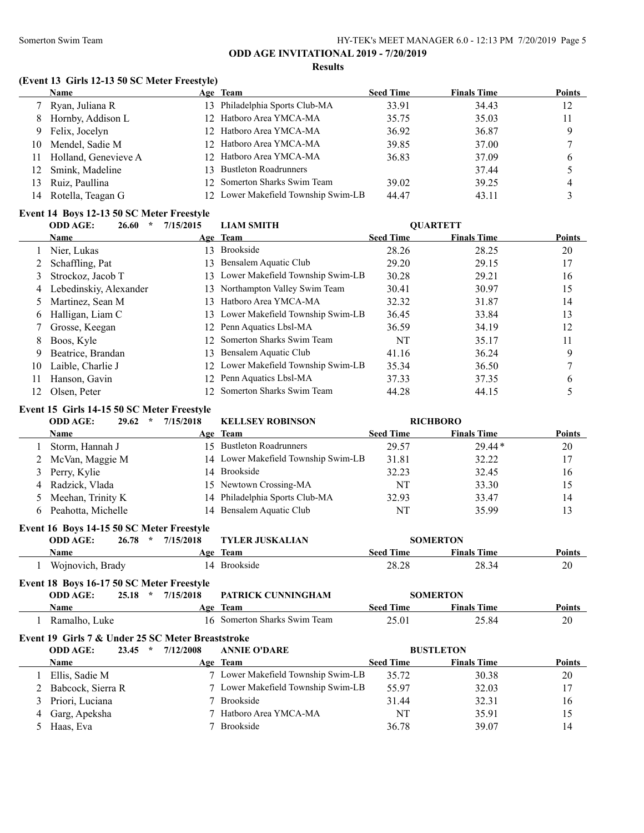#### **Results**

#### **(Event 13 Girls 12-13 50 SC Meter Freestyle)**

|    | <b>Name</b>             | Age Team                            | <b>Seed Time</b> | <b>Finals Time</b> | <b>Points</b> |
|----|-------------------------|-------------------------------------|------------------|--------------------|---------------|
|    | Ryan, Juliana R         | 13 Philadelphia Sports Club-MA      | 33.91            | 34.43              | 12            |
| 8  | Hornby, Addison L       | 12 Hatboro Area YMCA-MA             | 35.75            | 35.03              | 11            |
| 9. | Felix, Jocelyn          | 12 Hatboro Area YMCA-MA             | 36.92            | 36.87              | Q             |
| 10 | Mendel, Sadie M         | 12 Hatboro Area YMCA-MA             | 39.85            | 37.00              |               |
|    | 11 Holland, Genevieve A | 12 Hatboro Area YMCA-MA             | 36.83            | 37.09              | 6             |
| 12 | Smink, Madeline         | 13 Bustleton Roadrunners            |                  | 37.44              |               |
|    | 13 Ruiz, Paullina       | 12 Somerton Sharks Swim Team        | 39.02            | 39.25              | 4             |
| 14 | Rotella, Teagan G       | 12 Lower Makefield Township Swim-LB | 44.47            | 43.11              |               |

#### **Event 14 Boys 12-13 50 SC Meter Freestyle**

|    | <b>ODD AGE:</b><br>26.60 | 7/15/2015       | <b>LIAM SMITH</b>                   |                  | <b>OUARTETT</b>    |               |
|----|--------------------------|-----------------|-------------------------------------|------------------|--------------------|---------------|
|    | Name                     |                 | Age Team                            | <b>Seed Time</b> | <b>Finals Time</b> | <b>Points</b> |
|    | Nier, Lukas              | 13.             | Brookside                           | 28.26            | 28.25              | 20            |
|    | Schaffling, Pat          | <sup>3</sup>    | Bensalem Aquatic Club               | 29.20            | 29.15              | 17            |
| 3  | Strockoz, Jacob T        |                 | 13 Lower Makefield Township Swim-LB | 30.28            | 29.21              | 16            |
| 4  | Lebedinskiy, Alexander   |                 | 13 Northampton Valley Swim Team     | 30.41            | 30.97              | 15            |
| 5. | Martinez, Sean M         | 13.             | Hatboro Area YMCA-MA                | 32.32            | 31.87              | 14            |
| 6  | Halligan, Liam C         |                 | 13 Lower Makefield Township Swim-LB | 36.45            | 33.84              | 13            |
|    | Grosse, Keegan           | 12              | Penn Aquatics Lbsl-MA               | 36.59            | 34.19              | 12            |
| 8  | Boos, Kyle               | 12 <sup>1</sup> | Somerton Sharks Swim Team           | NT               | 35.17              | 11            |
| 9  | Beatrice, Brandan        | <sup>3</sup>    | Bensalem Aquatic Club               | 41.16            | 36.24              | 9             |
| 10 | Laible, Charlie J        |                 | 12 Lower Makefield Township Swim-LB | 35.34            | 36.50              | ┑             |
| 11 | Hanson, Gavin            | 12.             | Penn Aquatics Lbsl-MA               | 37.33            | 37.35              | 6             |
| 12 | Olsen, Peter             |                 | Somerton Sharks Swim Team           | 44.28            | 44.15              |               |

#### **Event 15 Girls 14-15 50 SC Meter Freestyle**

**Event 16 Boys 14-15 50 SC Meter Freestyle**

|   | <b>ODD AGE:</b><br>29.62<br>$\star$ | 7/15/2018       | <b>KELLSEY ROBINSON</b>             |                  | <b>RICHBORO</b>    |               |
|---|-------------------------------------|-----------------|-------------------------------------|------------------|--------------------|---------------|
|   | Name                                |                 | Age Team                            | <b>Seed Time</b> | <b>Finals Time</b> | <b>Points</b> |
|   | Storm, Hannah J                     |                 | 15 Bustleton Roadrunners            | 29.57            | $29.44*$           | 20            |
|   | 2 McVan, Maggie M                   |                 | 14 Lower Makefield Township Swim-LB | 31.81            | 32.22              | 17            |
|   | 3 Perry, Kylie                      | $\overline{14}$ | Brookside                           | 32.23            | 32.45              | 16            |
| 4 | Radzick, Vlada                      |                 | 15 Newtown Crossing-MA              | NT               | 33.30              | 15            |
|   | 5 Meehan, Trinity K                 |                 | 14 Philadelphia Sports Club-MA      | 32.93            | 33.47              | 14            |
|   | 6 Peahotta, Michelle                |                 | 14 Bensalem Aquatic Club            | NT               | 35.99              | 13            |
|   |                                     |                 |                                     |                  |                    |               |

| <b>ODD AGE:</b><br>26.78 | $*$ 7/15/2018 | <b>TYLER JUSKALIAN</b> |           | <b>SOMERTON</b>    |               |
|--------------------------|---------------|------------------------|-----------|--------------------|---------------|
| Name                     |               | Age Team               | Seed Time | <b>Finals Time</b> | <b>Points</b> |
| Wojnovich, Brady         |               | 14 Brookside           | 28.28     | 28.34              | 20            |

| Event 18 Boys 16-17 50 SC Meter Freestyle |                        |           |                              |                  |                    |               |  |
|-------------------------------------------|------------------------|-----------|------------------------------|------------------|--------------------|---------------|--|
| <b>ODD AGE:</b>                           | 25.18<br>$\mathcal{R}$ | 7/15/2018 | PATRICK CUNNINGHAM           |                  | <b>SOMERTON</b>    |               |  |
| Name                                      |                        |           | Age Team                     | <b>Seed Time</b> | <b>Finals Time</b> | <b>Points</b> |  |
| Ramalho, Luke                             |                        |           | 16 Somerton Sharks Swim Team | 25.01            | 25.84              | 20            |  |

# **Event 19 Girls 7 & Under 25 SC Meter Breaststroke**

|   | <b>ODD AGE:</b><br>23.45<br>$\star$ | 7/12/2008<br><b>ANNIE O'DARE</b> |                                             | <b>BUSTLETON</b>   |               |
|---|-------------------------------------|----------------------------------|---------------------------------------------|--------------------|---------------|
|   | <b>Name</b>                         | Age Team                         | <b>Seed Time</b>                            | <b>Finals Time</b> | <b>Points</b> |
|   | Ellis, Sadie M                      |                                  | 7 Lower Makefield Township Swim-LB<br>35.72 | 30.38              | 20            |
|   | 2 Babcock, Sierra R                 |                                  | 7 Lower Makefield Township Swim-LB<br>55.97 | 32.03              | 17            |
|   | 3 Priori, Luciana                   | Brookside                        | 31.44                                       | 32.31              | 16            |
| 4 | Garg, Apeksha                       | 7 Hatboro Area YMCA-MA           | NT                                          | 35.91              | 15            |
|   | Haas, Eva                           | <b>Brookside</b>                 | 36.78                                       | 39.07              | 14            |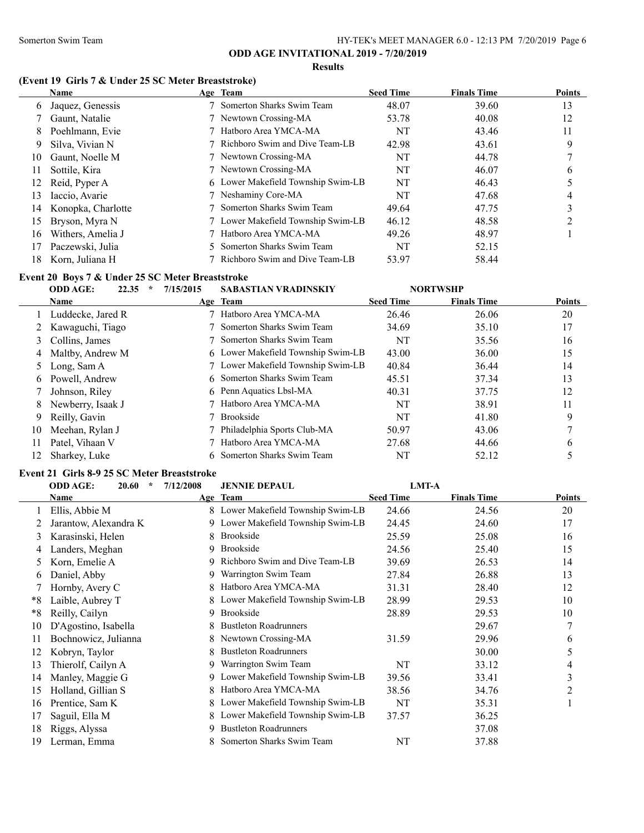**Results**

## **(Event 19 Girls 7 & Under 25 SC Meter Breaststroke)**

|    | <b>Name</b>        | Age Team                           | <b>Seed Time</b> | <b>Finals Time</b> | <b>Points</b> |
|----|--------------------|------------------------------------|------------------|--------------------|---------------|
| 6  | Jaquez, Genessis   | Somerton Sharks Swim Team          | 48.07            | 39.60              | 13            |
|    | Gaunt, Natalie     | 7 Newtown Crossing-MA              | 53.78            | 40.08              | 12            |
| 8  | Poehlmann, Evie    | 7 Hatboro Area YMCA-MA             | NT               | 43.46              | 11            |
| 9  | Silva, Vivian N    | 7 Richboro Swim and Dive Team-LB   | 42.98            | 43.61              | 9             |
| 10 | Gaunt, Noelle M    | 7 Newtown Crossing-MA              | NT               | 44.78              |               |
| 11 | Sottile, Kira      | 7 Newtown Crossing-MA              | NT               | 46.07              | b             |
| 12 | Reid, Pyper A      | 6 Lower Makefield Township Swim-LB | NT               | 46.43              |               |
| 13 | Iaccio, Avarie     | 7 Neshaminy Core-MA                | NT               | 47.68              | 4             |
| 14 | Konopka, Charlotte | Somerton Sharks Swim Team          | 49.64            | 47.75              | 3             |
| 15 | Bryson, Myra N     | 7 Lower Makefield Township Swim-LB | 46.12            | 48.58              |               |
| 16 | Withers, Amelia J  | Hatboro Area YMCA-MA               | 49.26            | 48.97              |               |
| 17 | Paczewski, Julia   | 5 Somerton Sharks Swim Team        | NT               | 52.15              |               |
| 18 | Korn, Juliana H    | 7 Richboro Swim and Dive Team-LB   | 53.97            | 58.44              |               |

## **Event 20 Boys 7 & Under 25 SC Meter Breaststroke**

|    | 22.35<br><b>ODD AGE:</b><br>$\star$ | 7/15/2015 | <b>SABASTIAN VRADINSKIY</b>        |                  | <b>NORTWSHP</b>    |               |
|----|-------------------------------------|-----------|------------------------------------|------------------|--------------------|---------------|
|    | <b>Name</b>                         |           | Age Team                           | <b>Seed Time</b> | <b>Finals Time</b> | <b>Points</b> |
|    | Luddecke, Jared R                   |           | Hatboro Area YMCA-MA               | 26.46            | 26.06              | 20            |
|    | 2 Kawaguchi, Tiago                  |           | Somerton Sharks Swim Team          | 34.69            | 35.10              | 17            |
| 3  | Collins, James                      |           | Somerton Sharks Swim Team          | NT               | 35.56              | 16            |
|    | 4 Maltby, Andrew M                  |           | 6 Lower Makefield Township Swim-LB | 43.00            | 36.00              | 15            |
|    | 5 Long, Sam A                       |           | 7 Lower Makefield Township Swim-LB | 40.84            | 36.44              | 14            |
| 6. | Powell, Andrew                      |           | 6 Somerton Sharks Swim Team        | 45.51            | 37.34              | 13            |
|    | Johnson, Riley                      |           | 6 Penn Aquatics Lbsl-MA            | 40.31            | 37.75              | 12            |
| 8  | Newberry, Isaak J                   |           | Hatboro Area YMCA-MA               | NT               | 38.91              | 11            |
| 9  | Reilly, Gavin                       |           | <b>Brookside</b>                   | NT               | 41.80              | 9             |
| 10 | Meehan, Rylan J                     |           | Philadelphia Sports Club-MA        | 50.97            | 43.06              |               |
| 11 | Patel, Vihaan V                     |           | Hatboro Area YMCA-MA               | 27.68            | 44.66              | 6             |
| 12 | Sharkey, Luke                       |           | 6 Somerton Sharks Swim Team        | NT               | 52.12              |               |

#### **Event 21 Girls 8-9 25 SC Meter Breaststroke**

|      | <b>ODD AGE:</b><br>$\star$<br><b>JENNIE DEPAUL</b><br><b>LMT-A</b><br>20.60<br>7/12/2008 |   |                                  |                  |                    |                |
|------|------------------------------------------------------------------------------------------|---|----------------------------------|------------------|--------------------|----------------|
|      | Name                                                                                     |   | Age Team                         | <b>Seed Time</b> | <b>Finals Time</b> | Points         |
|      | Ellis, Abbie M                                                                           | 8 | Lower Makefield Township Swim-LB | 24.66            | 24.56              | 20             |
|      | Jarantow, Alexandra K                                                                    | 9 | Lower Makefield Township Swim-LB | 24.45            | 24.60              | 17             |
| 3    | Karasinski, Helen                                                                        | 8 | <b>Brookside</b>                 | 25.59            | 25.08              | 16             |
| 4    | Landers, Meghan                                                                          | 9 | <b>Brookside</b>                 | 24.56            | 25.40              | 15             |
| 5.   | Korn, Emelie A                                                                           | 9 | Richboro Swim and Dive Team-LB   | 39.69            | 26.53              | 14             |
| 6    | Daniel, Abby                                                                             | 9 | Warrington Swim Team             | 27.84            | 26.88              | 13             |
|      | Hornby, Avery C                                                                          | 8 | Hatboro Area YMCA-MA             | 31.31            | 28.40              | 12             |
| *8   | Laible, Aubrey T                                                                         | 8 | Lower Makefield Township Swim-LB | 28.99            | 29.53              | 10             |
| $*8$ | Reilly, Cailyn                                                                           | 9 | <b>Brookside</b>                 | 28.89            | 29.53              | 10             |
| 10   | D'Agostino, Isabella                                                                     |   | <b>Bustleton Roadrunners</b>     |                  | 29.67              | 7              |
| 11   | Bochnowicz, Julianna                                                                     |   | Newtown Crossing-MA              | 31.59            | 29.96              | 6              |
| 12   | Kobryn, Taylor                                                                           |   | <b>Bustleton Roadrunners</b>     |                  | 30.00              | 5              |
| 13   | Thierolf, Cailyn A                                                                       | 9 | Warrington Swim Team             | NT               | 33.12              | 4              |
| 14   | Manley, Maggie G                                                                         | 9 | Lower Makefield Township Swim-LB | 39.56            | 33.41              | 3              |
| 15   | Holland, Gillian S                                                                       | 8 | Hatboro Area YMCA-MA             | 38.56            | 34.76              | $\overline{2}$ |
| 16   | Prentice, Sam K                                                                          | 8 | Lower Makefield Township Swim-LB | NT               | 35.31              |                |
| 17   | Saguil, Ella M                                                                           |   | Lower Makefield Township Swim-LB | 37.57            | 36.25              |                |
| 18   | Riggs, Alyssa                                                                            | 9 | <b>Bustleton Roadrunners</b>     |                  | 37.08              |                |
| 19   | Lerman, Emma                                                                             |   | Somerton Sharks Swim Team        | NT               | 37.88              |                |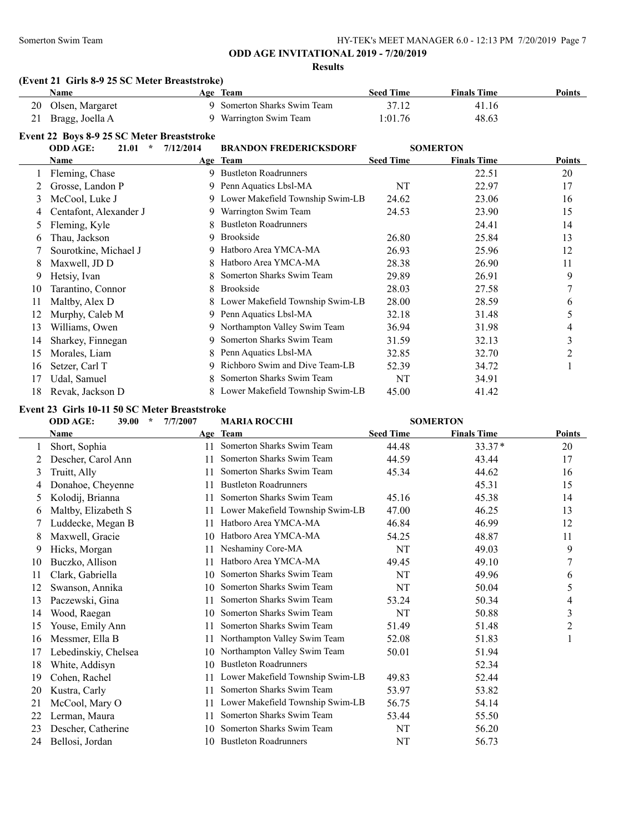**Results**

#### **(Event 21 Girls 8-9 25 SC Meter Breaststroke)**

| Name               | Age Team                    | <b>Seed Time</b> | <b>Finals Time</b> | <b>Points</b> |
|--------------------|-----------------------------|------------------|--------------------|---------------|
| 20 Olsen, Margaret | 9 Somerton Sharks Swim Team | 37.12            | 41.16              |               |
| 21 Bragg, Joella A | 9 Warrington Swim Team      | 1:01.76          | 48.63              |               |

#### **Event 22 Boys 8-9 25 SC Meter Breaststroke**

|    | <b>ODD AGE:</b><br>$\star$<br>21.01 | 7/12/2014 | <b>BRANDON FREDERICKSDORF</b>      | <b>SOMERTON</b>  |                    |        |
|----|-------------------------------------|-----------|------------------------------------|------------------|--------------------|--------|
|    | Name                                |           | Age Team                           | <b>Seed Time</b> | <b>Finals Time</b> | Points |
|    | Fleming, Chase                      |           | 9 Bustleton Roadrunners            |                  | 22.51              | 20     |
|    | Grosse, Landon P                    | 9         | Penn Aquatics Lbsl-MA              | NT               | 22.97              | 17     |
| 3  | McCool, Luke J                      | 9         | Lower Makefield Township Swim-LB   | 24.62            | 23.06              | 16     |
| 4  | Centafont, Alexander J              | 9.        | Warrington Swim Team               | 24.53            | 23.90              | 15     |
|    | Fleming, Kyle                       |           | <b>Bustleton Roadrunners</b>       |                  | 24.41              | 14     |
| 6  | Thau, Jackson                       | 9         | <b>Brookside</b>                   | 26.80            | 25.84              | 13     |
|    | Sourotkine, Michael J               | 9         | Hatboro Area YMCA-MA               | 26.93            | 25.96              | 12     |
| 8  | Maxwell, JD D                       |           | Hatboro Area YMCA-MA               | 28.38            | 26.90              | 11     |
| 9  | Hetsiy, Ivan                        | 8         | Somerton Sharks Swim Team          | 29.89            | 26.91              | 9      |
| 10 | Tarantino, Connor                   | 8         | <b>Brookside</b>                   | 28.03            | 27.58              |        |
| 11 | Maltby, Alex D                      |           | 8 Lower Makefield Township Swim-LB | 28.00            | 28.59              | 6      |
| 12 | Murphy, Caleb M                     | 9         | Penn Aquatics Lbsl-MA              | 32.18            | 31.48              | 5      |
| 13 | Williams, Owen                      | 9         | Northampton Valley Swim Team       | 36.94            | 31.98              | 4      |
| 14 | Sharkey, Finnegan                   | 9.        | Somerton Sharks Swim Team          | 31.59            | 32.13              | 3      |
| 15 | Morales, Liam                       | 8         | Penn Aquatics Lbsl-MA              | 32.85            | 32.70              | 2      |
| 16 | Setzer, Carl T                      | 9         | Richboro Swim and Dive Team-LB     | 52.39            | 34.72              |        |
| 17 | Udal, Samuel                        | 8         | Somerton Sharks Swim Team          | NT               | 34.91              |        |
| 18 | Revak, Jackson D                    |           | Lower Makefield Township Swim-LB   | 45.00            | 41.42              |        |
|    |                                     |           |                                    |                  |                    |        |

#### **Event 23 Girls 10-11 50 SC Meter Breaststroke**

## **ODD AGE: 39.00 \* 7/7/2007 MARIA ROCCHI SOMERTON**

|    | Name                 |    | Age Team                         | <b>Seed Time</b> | <b>Finals Time</b> | <b>Points</b> |
|----|----------------------|----|----------------------------------|------------------|--------------------|---------------|
|    | Short, Sophia        | 11 | Somerton Sharks Swim Team        | 44.48            | $33.37*$           | 20            |
|    | Descher, Carol Ann   | 11 | Somerton Sharks Swim Team        | 44.59            | 43.44              | 17            |
| 3  | Truitt, Ally         | 11 | Somerton Sharks Swim Team        | 45.34            | 44.62              | 16            |
| 4  | Donahoe, Cheyenne    | 11 | <b>Bustleton Roadrunners</b>     |                  | 45.31              | 15            |
| 5  | Kolodij, Brianna     | 11 | Somerton Sharks Swim Team        | 45.16            | 45.38              | 14            |
| 6  | Maltby, Elizabeth S  | 11 | Lower Makefield Township Swim-LB | 47.00            | 46.25              | 13            |
|    | Luddecke, Megan B    | 11 | Hatboro Area YMCA-MA             | 46.84            | 46.99              | 12            |
| 8  | Maxwell, Gracie      | 10 | Hatboro Area YMCA-MA             | 54.25            | 48.87              | 11            |
| 9  | Hicks, Morgan        | 11 | Neshaminy Core-MA                | <b>NT</b>        | 49.03              | 9             |
| 10 | Buczko, Allison      | 11 | Hatboro Area YMCA-MA             | 49.45            | 49.10              | 7             |
| 11 | Clark, Gabriella     | 10 | Somerton Sharks Swim Team        | <b>NT</b>        | 49.96              | 6             |
| 12 | Swanson, Annika      | 10 | Somerton Sharks Swim Team        | NT               | 50.04              | 5             |
| 13 | Paczewski, Gina      |    | Somerton Sharks Swim Team        | 53.24            | 50.34              | 4             |
| 14 | Wood, Raegan         | 10 | Somerton Sharks Swim Team        | NT               | 50.88              | 3             |
| 15 | Youse, Emily Ann     |    | Somerton Sharks Swim Team        | 51.49            | 51.48              | 2             |
| 16 | Messmer, Ella B      | 11 | Northampton Valley Swim Team     | 52.08            | 51.83              | 1             |
| 17 | Lebedinskiy, Chelsea | 10 | Northampton Valley Swim Team     | 50.01            | 51.94              |               |
| 18 | White, Addisyn       | 10 | <b>Bustleton Roadrunners</b>     |                  | 52.34              |               |
| 19 | Cohen, Rachel        | 11 | Lower Makefield Township Swim-LB | 49.83            | 52.44              |               |
| 20 | Kustra, Carly        | 11 | Somerton Sharks Swim Team        | 53.97            | 53.82              |               |
| 21 | McCool, Mary O       | 11 | Lower Makefield Township Swim-LB | 56.75            | 54.14              |               |
| 22 | Lerman, Maura        | 11 | Somerton Sharks Swim Team        | 53.44            | 55.50              |               |
| 23 | Descher, Catherine   | 10 | Somerton Sharks Swim Team        | NT               | 56.20              |               |
| 24 | Bellosi, Jordan      | 10 | <b>Bustleton Roadrunners</b>     | NT               | 56.73              |               |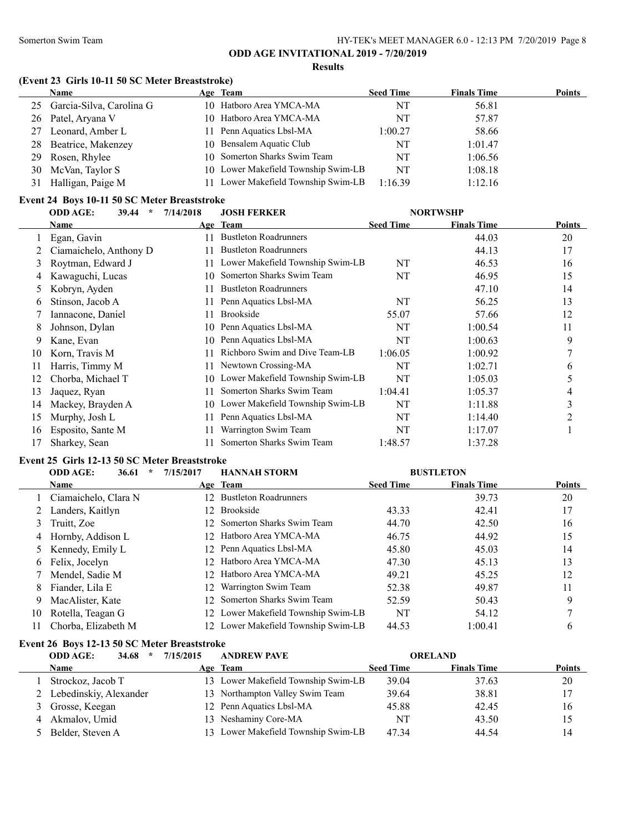**Results**

#### **(Event 23 Girls 10-11 50 SC Meter Breaststroke)**

|     | Name                     | Age Team                            | <b>Seed Time</b> | <b>Finals Time</b> | <b>Points</b> |
|-----|--------------------------|-------------------------------------|------------------|--------------------|---------------|
| 25  | Garcia-Silva, Carolina G | 10 Hatboro Area YMCA-MA             | NT               | 56.81              |               |
|     | 26 Patel, Aryana V       | 10 Hatboro Area YMCA-MA             | NT               | 57.87              |               |
| 27  | Leonard, Amber L         | 11 Penn Aquatics Lbsl-MA            | 1:00.27          | 58.66              |               |
| 28. | Beatrice, Makenzey       | 10 Bensalem Aquatic Club            | NT               | 1:01.47            |               |
| 29  | Rosen, Rhylee            | 10 Somerton Sharks Swim Team        | NT               | 1:06.56            |               |
| 30  | McVan, Taylor S          | 10 Lower Makefield Township Swim-LB | NT               | 1:08.18            |               |
| 31  | Halligan, Paige M        | 11 Lower Makefield Township Swim-LB | 1:16.39          | 1:12.16            |               |

#### **Event 24 Boys 10-11 50 SC Meter Breaststroke**

|    | втене второго-положение вназначае |                      |                                  |                  |                    |               |
|----|-----------------------------------|----------------------|----------------------------------|------------------|--------------------|---------------|
|    | 39.44<br><b>ODD AGE:</b>          | 7/14/2018<br>$\star$ | <b>JOSH FERKER</b>               | <b>NORTWSHP</b>  |                    |               |
|    | Name                              |                      | Age Team                         | <b>Seed Time</b> | <b>Finals Time</b> | <b>Points</b> |
|    | Egan, Gavin                       | 11                   | <b>Bustleton Roadrunners</b>     |                  | 44.03              | 20            |
|    | Ciamaichelo, Anthony D            | 11                   | <b>Bustleton Roadrunners</b>     |                  | 44.13              | 17            |
| 3  | Roytman, Edward J                 | 11.                  | Lower Makefield Township Swim-LB | NT               | 46.53              | 16            |
| 4  | Kawaguchi, Lucas                  | 10                   | Somerton Sharks Swim Team        | NT               | 46.95              | 15            |
| 5  | Kobryn, Ayden                     | 11                   | <b>Bustleton Roadrunners</b>     |                  | 47.10              | 14            |
| 6  | Stinson, Jacob A                  | 11                   | Penn Aquatics Lbsl-MA            | NT               | 56.25              | 13            |
|    | Iannacone, Daniel                 | 11                   | <b>Brookside</b>                 | 55.07            | 57.66              | 12            |
| 8  | Johnson, Dylan                    | 10                   | Penn Aquatics Lbsl-MA            | NT               | 1:00.54            | 11            |
| 9  | Kane, Evan                        | 10                   | Penn Aquatics Lbsl-MA            | NT               | 1:00.63            | 9             |
| 10 | Korn, Travis M                    |                      | Richboro Swim and Dive Team-LB   | 1:06.05          | 1:00.92            | 7             |
| 11 | Harris, Timmy M                   | 11                   | Newtown Crossing-MA              | NT               | 1:02.71            | 6             |
| 12 | Chorba, Michael T                 | 10                   | Lower Makefield Township Swim-LB | NT               | 1:05.03            | 5             |
| 13 | Jaquez, Ryan                      | 11                   | Somerton Sharks Swim Team        | 1:04.41          | 1:05.37            | 4             |
| 14 | Mackey, Brayden A                 | 10                   | Lower Makefield Township Swim-LB | NT               | 1:11.88            | 3             |
| 15 | Murphy, Josh L                    | 11                   | Penn Aquatics Lbsl-MA            | NT               | 1:14.40            | 2             |
| 16 | Esposito, Sante M                 | 11                   | Warrington Swim Team             | NT               | 1:17.07            |               |
| 17 | Sharkey, Sean                     |                      | Somerton Sharks Swim Team        | 1:48.57          | 1:37.28            |               |

#### **Event 25 Girls 12-13 50 SC Meter Breaststroke**

|    | <b>ODD AGE:</b><br>36.61<br>$\ast$ | 7/15/2017 | <b>HANNAH STORM</b>                 |                  | <b>BUSTLETON</b>   |               |
|----|------------------------------------|-----------|-------------------------------------|------------------|--------------------|---------------|
|    | <b>Name</b>                        |           | Age Team                            | <b>Seed Time</b> | <b>Finals Time</b> | <b>Points</b> |
|    | Ciamaichelo, Clara N               |           | 12 Bustleton Roadrunners            |                  | 39.73              | 20            |
|    | Landers, Kaitlyn                   |           | 12 Brookside                        | 43.33            | 42.41              | 17            |
|    | Truitt, Zoe                        |           | 12 Somerton Sharks Swim Team        | 44.70            | 42.50              | 16            |
|    | Hornby, Addison L                  |           | 12 Hatboro Area YMCA-MA             | 46.75            | 44.92              | 15            |
|    | Kennedy, Emily L                   |           | 12 Penn Aquatics Lbsl-MA            | 45.80            | 45.03              | 14            |
| 6  | Felix, Jocelyn                     |           | 12 Hatboro Area YMCA-MA             | 47.30            | 45.13              | 13            |
|    | Mendel, Sadie M                    |           | 12 Hatboro Area YMCA-MA             | 49.21            | 45.25              | 12            |
| 8  | Fiander, Lila E                    | 12        | Warrington Swim Team                | 52.38            | 49.87              | 11            |
| 9  | MacAlister, Kate                   |           | 12 Somerton Sharks Swim Team        | 52.59            | 50.43              | 9             |
| 10 | Rotella, Teagan G                  |           | 12 Lower Makefield Township Swim-LB | NT               | 54.12              |               |
| 11 | Chorba, Elizabeth M                |           | 12 Lower Makefield Township Swim-LB | 44.53            | 1:00.41            | 6             |

## **Event 26 Boys 12-13 50 SC Meter Breaststroke**

| <b>ODD AGE:</b><br>7/15/2015<br>34.68<br>$\star$ |  | <b>ANDREW PAVE</b>                  | <b>ORELAND</b>   |                    |               |  |
|--------------------------------------------------|--|-------------------------------------|------------------|--------------------|---------------|--|
| <b>Name</b>                                      |  | Age Team                            | <b>Seed Time</b> | <b>Finals Time</b> | <b>Points</b> |  |
| Strockoz, Jacob T                                |  | 13 Lower Makefield Township Swim-LB | 39.04            | 37.63              | 20            |  |
| 2 Lebedinskiy, Alexander                         |  | 13 Northampton Valley Swim Team     | 39.64            | 38.81              | 17            |  |
| 3 Grosse, Keegan                                 |  | 12 Penn Aquatics Lbsl-MA            | 45.88            | 42.45              | 16            |  |
| 4 Akmalov, Umid                                  |  | 13 Neshaminy Core-MA                | NT               | 43.50              | 15            |  |
| 5 Belder, Steven A                               |  | 13 Lower Makefield Township Swim-LB | 47.34            | 44.54              | 14            |  |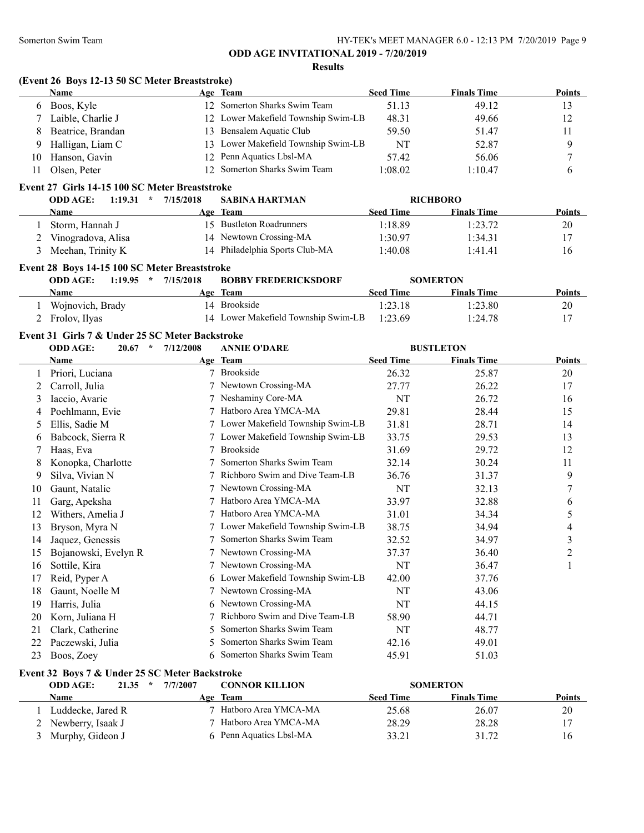#### **Results**

|     | <b>Name</b>       | Age Team                            | <b>Seed Time</b> | <b>Finals Time</b> | <b>Points</b> |
|-----|-------------------|-------------------------------------|------------------|--------------------|---------------|
| 6   | Boos, Kyle        | 12 Somerton Sharks Swim Team        | 51.13            | 49.12              | 13            |
|     | Laible, Charlie J | 12 Lower Makefield Township Swim-LB | 48.31            | 49.66              | 12            |
| 8.  | Beatrice, Brandan | 13 Bensalem Aquatic Club            | 59.50            | 51.47              | 11            |
| 9.  | Halligan, Liam C  | 13 Lower Makefield Township Swim-LB | NT               | 52.87              | 9             |
| 10. | Hanson, Gavin     | 12 Penn Aquatics Lbsl-MA            | 57.42            | 56.06              |               |
|     | Olsen, Peter      | 12 Somerton Sharks Swim Team        | 1:08.02          | 1:10.47            | 6             |

| <b>ODD AGE:</b><br>1:19.31<br>$\star$ | 7/15/2018 | <b>SABINA HARTMAN</b>          |                  | <b>RICHBORO</b>    |        |
|---------------------------------------|-----------|--------------------------------|------------------|--------------------|--------|
| Name                                  |           | Age Team                       | <b>Seed Time</b> | <b>Finals Time</b> | Points |
| Storm. Hannah J                       |           | 15 Bustleton Roadrunners       | 1:18.89          | 1:23.72            | 20     |
| 2 Vinogradova, Alisa                  |           | 14 Newtown Crossing-MA         | 1:30.97          | 1:34.31            |        |
| Meehan, Trinity K                     |           | 14 Philadelphia Sports Club-MA | 1:40.08          | 1:41.41            | 16     |

## **Event 28 Boys 14-15 100 SC Meter Breaststroke**

| <b>ODD AGE:</b><br>1:19.95<br>$\star$ | 7/15/2018 | <b>BOBBY FREDERICKSDORF</b>         |                  | <b>SOMERTON</b>    |        |
|---------------------------------------|-----------|-------------------------------------|------------------|--------------------|--------|
| Name                                  |           | Age Team                            | <b>Seed Time</b> | <b>Finals Time</b> | Points |
| Wojnovich, Brady                      |           | 14 Brookside                        | 1:23.18          | 1:23.80            | 20     |
| 2 Frolov, Ilyas                       |           | 14 Lower Makefield Township Swim-LB | 1:23.69          | 1:24.78            |        |

### **Event 31 Girls 7 & Under 25 SC Meter Backstroke**

|    | <b>ODD AGE:</b><br>20.67<br>$\star$ | 7/12/2008 | <b>ANNIE O'DARE</b>              |                  | <b>BUSTLETON</b>   |                |
|----|-------------------------------------|-----------|----------------------------------|------------------|--------------------|----------------|
|    | Name                                |           | Age Team                         | <b>Seed Time</b> | <b>Finals Time</b> | <b>Points</b>  |
|    | Priori, Luciana                     |           | <b>Brookside</b>                 | 26.32            | 25.87              | 20             |
| 2  | Carroll, Julia                      |           | Newtown Crossing-MA              | 27.77            | 26.22              | 17             |
| 3  | Iaccio, Avarie                      |           | Neshaminy Core-MA                | NT               | 26.72              | 16             |
| 4  | Poehlmann, Evie                     |           | Hatboro Area YMCA-MA             | 29.81            | 28.44              | 15             |
| 5  | Ellis, Sadie M                      |           | Lower Makefield Township Swim-LB | 31.81            | 28.71              | 14             |
| 6  | Babcock, Sierra R                   |           | Lower Makefield Township Swim-LB | 33.75            | 29.53              | 13             |
|    | Haas, Eva                           |           | Brookside                        | 31.69            | 29.72              | 12             |
| 8  | Konopka, Charlotte                  |           | Somerton Sharks Swim Team        | 32.14            | 30.24              | 11             |
| 9  | Silva, Vivian N                     |           | Richboro Swim and Dive Team-LB   | 36.76            | 31.37              | 9              |
| 10 | Gaunt, Natalie                      |           | Newtown Crossing-MA              | <b>NT</b>        | 32.13              | 7              |
| 11 | Garg, Apeksha                       |           | Hatboro Area YMCA-MA             | 33.97            | 32.88              | 6              |
| 12 | Withers, Amelia J                   |           | Hatboro Area YMCA-MA             | 31.01            | 34.34              | 5              |
| 13 | Bryson, Myra N                      |           | Lower Makefield Township Swim-LB | 38.75            | 34.94              | 4              |
| 14 | Jaquez, Genessis                    |           | Somerton Sharks Swim Team        | 32.52            | 34.97              | 3              |
| 15 | Bojanowski, Evelyn R                |           | Newtown Crossing-MA              | 37.37            | 36.40              | $\overline{c}$ |
| 16 | Sottile, Kira                       |           | Newtown Crossing-MA              | NT               | 36.47              | 1              |
| 17 | Reid, Pyper A                       | 6.        | Lower Makefield Township Swim-LB | 42.00            | 37.76              |                |
| 18 | Gaunt, Noelle M                     |           | Newtown Crossing-MA              | NT               | 43.06              |                |
| 19 | Harris, Julia                       | 6.        | Newtown Crossing-MA              | NT               | 44.15              |                |
| 20 | Korn, Juliana H                     |           | Richboro Swim and Dive Team-LB   | 58.90            | 44.71              |                |
| 21 | Clark, Catherine                    | 5.        | Somerton Sharks Swim Team        | NT               | 48.77              |                |
| 22 | Paczewski, Julia                    | 5.        | Somerton Sharks Swim Team        | 42.16            | 49.01              |                |
| 23 | Boos, Zoey                          | 6.        | Somerton Sharks Swim Team        | 45.91            | 51.03              |                |

#### **Event 32 Boys 7 & Under 25 SC Meter Backstroke**

| <b>ODD AGE:</b><br>21.35<br>$\star$ | <b>CONNOR KILLION</b><br>7/7/2007 | <b>SOMERTON</b>  |                    |               |
|-------------------------------------|-----------------------------------|------------------|--------------------|---------------|
| Name                                | Age Team                          | <b>Seed Time</b> | <b>Finals Time</b> | <b>Points</b> |
| Luddecke, Jared R                   | 7 Hatboro Area YMCA-MA            | 25.68            | 26.07              | 20            |
| 2 Newberry, Isaak J                 | 7 Hatboro Area YMCA-MA            | 28.29            | 28.28              |               |
| 3 Murphy, Gideon J                  | 6 Penn Aquatics Lbsl-MA           | 33.21            | 31.72              | 16            |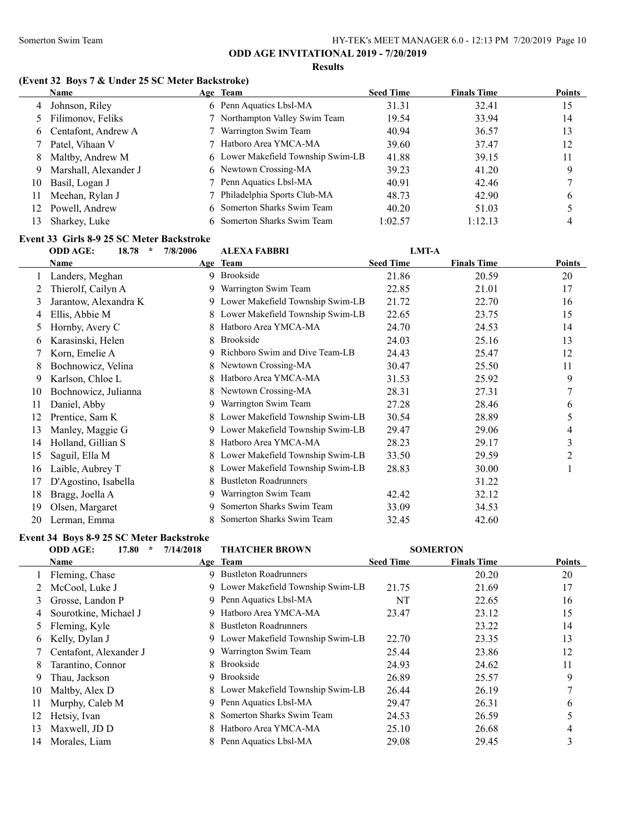**Results**

#### **(Event 32 Boys 7 & Under 25 SC Meter Backstroke)**

|    | <b>Name</b>           | Age Team                           | <b>Seed Time</b> | <b>Finals Time</b> | <b>Points</b> |
|----|-----------------------|------------------------------------|------------------|--------------------|---------------|
| 4  | Johnson, Riley        | 6 Penn Aquatics Lbsl-MA            | 31.31            | 32.41              | 15            |
|    | Filimonov, Feliks     | 7 Northampton Valley Swim Team     | 19.54            | 33.94              | 14            |
|    | 6 Centafont, Andrew A | 7 Warrington Swim Team             | 40.94            | 36.57              | 13            |
|    | Patel, Vihaan V       | 7 Hatboro Area YMCA-MA             | 39.60            | 37.47              | 12            |
| 8  | Maltby, Andrew M      | 6 Lower Makefield Township Swim-LB | 41.88            | 39.15              | 11            |
| 9  | Marshall, Alexander J | 6 Newtown Crossing-MA              | 39.23            | 41.20              | 9             |
| 10 | Basil, Logan J        | 7 Penn Aquatics Lbsl-MA            | 40.91            | 42.46              |               |
| 11 | Meehan, Rylan J       | 7 Philadelphia Sports Club-MA      | 48.73            | 42.90              | 6             |
| 12 | Powell, Andrew        | 6 Somerton Sharks Swim Team        | 40.20            | 51.03              |               |
| 13 | Sharkey, Luke         | 6 Somerton Sharks Swim Team        | 1:02.57          | 1:12.13            |               |
|    |                       |                                    |                  |                    |               |

#### **Event 33 Girls 8-9 25 SC Meter Backstroke**

## **ODD AGE: 18.78 \* 7/8/2006 ALEXA FABBRI LMT-A Name Age Team Seed Time Finals Time Points** 1 Landers, Meghan 9 Brookside 21.86 20.59 20 2 Thierolf, Cailyn A 9 Warrington Swim Team 22.85 21.01 17 3 Jarantow, Alexandra K 9 Lower Makefield Township Swim-LB 21.72 22.70 16 4 Ellis, Abbie M 8 Lower Makefield Township Swim-LB 22.65 23.75 23.75 15 5 Hornby, Avery C 8 Hatboro Area YMCA-MA 24.70 24.53 14 6 Karasinski, Helen 8 Brookside 24.03 25.16 13 7 Korn, Emelie A 9 Richboro Swim and Dive Team-LB 24.43 25.47 12 8 Bochnowicz, Velina 8 Newtown Crossing-MA 30.47 25.50 11 9 Karlson, Chloe L 8 Hatboro Area YMCA-MA 31.53 25.92 9 10 Bochnowicz, Julianna 8 Newtown Crossing-MA 28.31 27.31 7 11 Daniel, Abby 9 Warrington Swim Team 27.28 28.46 6 12 Prentice, Sam K 8 Lower Makefield Township Swim-LB 30.54 28.89 5 13 Manley, Maggie G 9 Lower Makefield Township Swim-LB 29.47 29.06 4 14 Holland, Gillian S 8 Hatboro Area YMCA-MA 28.23 29.17 3 15 Saguil, Ella M 8 Lower Makefield Township Swim-LB 33.50 29.59 29.59 2 16 Laible, Aubrey T 8 Lower Makefield Township Swim-LB 28.83 30.00 1 17 D'Agostino, Isabella 8 Bustleton Roadrunners 31.22 18 Bragg, Joella A 9 Warrington Swim Team 42.42 32.12 19 Olsen, Margaret 9 Somerton Sharks Swim Team 33.09 34.53 20 Lerman, Emma 8 Somerton Sharks Swim Team 32.45 42.60

#### **Event 34 Boys 8-9 25 SC Meter Backstroke**

# **ODD AGE: 17.80 \* 7/14/2018 THATCHER BROWN SOMERTON**

| Name                   |                           | <b>Seed Time</b>                                                                                                                                                                                                                 | <b>Finals Time</b>                                                                                             | <b>Points</b> |
|------------------------|---------------------------|----------------------------------------------------------------------------------------------------------------------------------------------------------------------------------------------------------------------------------|----------------------------------------------------------------------------------------------------------------|---------------|
| Fleming, Chase         |                           |                                                                                                                                                                                                                                  | 20.20                                                                                                          | 20            |
| McCool, Luke J         |                           | 21.75                                                                                                                                                                                                                            | 21.69                                                                                                          | 17            |
| Grosse, Landon P       |                           | NT                                                                                                                                                                                                                               | 22.65                                                                                                          | 16            |
| Sourotkine, Michael J  |                           | 23.47                                                                                                                                                                                                                            | 23.12                                                                                                          | 15            |
| Fleming, Kyle          |                           |                                                                                                                                                                                                                                  | 23.22                                                                                                          | 14            |
| Kelly, Dylan J         |                           | 22.70                                                                                                                                                                                                                            | 23.35                                                                                                          | 13            |
| Centafont, Alexander J | Warrington Swim Team      | 25.44                                                                                                                                                                                                                            | 23.86                                                                                                          | 12            |
| Tarantino, Connor      | <b>Brookside</b>          | 24.93                                                                                                                                                                                                                            | 24.62                                                                                                          | 11            |
| Thau, Jackson          |                           | 26.89                                                                                                                                                                                                                            | 25.57                                                                                                          | 9             |
| Maltby, Alex D         |                           | 26.44                                                                                                                                                                                                                            | 26.19                                                                                                          |               |
| Murphy, Caleb M        |                           | 29.47                                                                                                                                                                                                                            | 26.31                                                                                                          | <sub>b</sub>  |
| Hetsiy, Ivan           | Somerton Sharks Swim Team | 24.53                                                                                                                                                                                                                            | 26.59                                                                                                          |               |
| Maxwell, JD D          |                           | 25.10                                                                                                                                                                                                                            | 26.68                                                                                                          | 4             |
| Morales, Liam          |                           | 29.08                                                                                                                                                                                                                            | 29.45                                                                                                          |               |
|                        |                           | Age Team<br>9 Bustleton Roadrunners<br>9 Penn Aquatics Lbsl-MA<br>9 Hatboro Area YMCA-MA<br>8 Bustleton Roadrunners<br>8.<br>Brookside<br>9.<br>9 Penn Aquatics Lbsl-MA<br>8.<br>8 Hatboro Area YMCA-MA<br>Penn Aquatics Lbsl-MA | 9 Lower Makefield Township Swim-LB<br>9 Lower Makefield Township Swim-LB<br>8 Lower Makefield Township Swim-LB |               |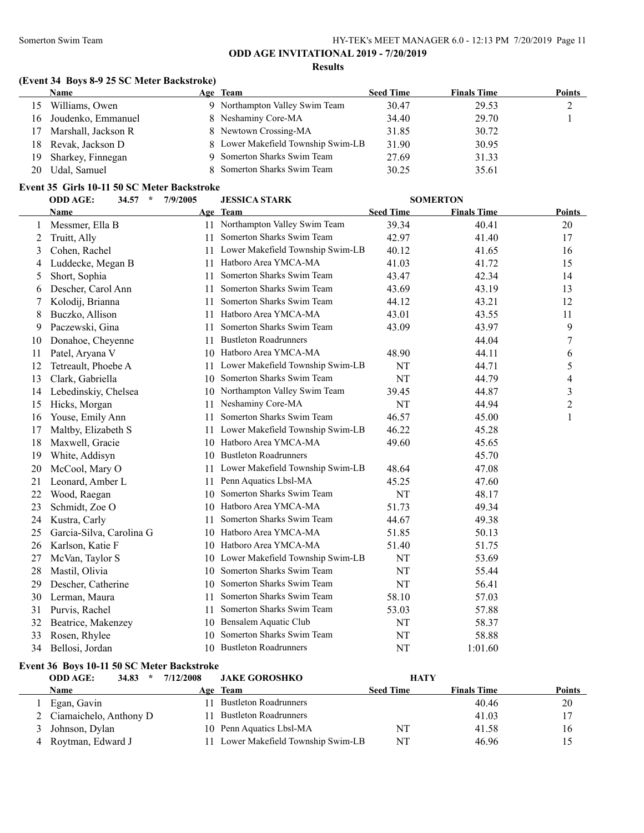#### **Results**

## **(Event 34 Boys 8-9 25 SC Meter Backstroke)**

|    | <b>Name</b>         | Age Team                           | <b>Seed Time</b> | <b>Finals Time</b> | <b>Points</b> |
|----|---------------------|------------------------------------|------------------|--------------------|---------------|
|    | Williams, Owen      | 9 Northampton Valley Swim Team     | 30.47            | 29.53              |               |
| 16 | Joudenko, Emmanuel  | 8 Neshaminy Core-MA                | 34.40            | 29.70              |               |
| 17 | Marshall, Jackson R | 8 Newtown Crossing-MA              | 31.85            | 30.72              |               |
| 18 | Revak, Jackson D    | 8 Lower Makefield Township Swim-LB | 31.90            | 30.95              |               |
| 19 | Sharkey, Finnegan   | 9 Somerton Sharks Swim Team        | 27.69            | 31.33              |               |
| 20 | Udal, Samuel        | 8 Somerton Sharks Swim Team        | 30.25            | 35.61              |               |

### **Event 35 Girls 10-11 50 SC Meter Backstroke**

|    | <b>ODD AGE:</b><br>34.57<br>$\star$ | 7/9/2005 | <b>JESSICA STARK</b>             | <b>SOMERTON</b>  |                    |                |
|----|-------------------------------------|----------|----------------------------------|------------------|--------------------|----------------|
|    | Name                                |          | Age Team                         | <b>Seed Time</b> | <b>Finals Time</b> | <b>Points</b>  |
| 1  | Messmer, Ella B                     |          | 11 Northampton Valley Swim Team  | 39.34            | 40.41              | 20             |
| 2  | Truitt, Ally                        | 11       | Somerton Sharks Swim Team        | 42.97            | 41.40              | 17             |
| 3  | Cohen, Rachel                       | 11       | Lower Makefield Township Swim-LB | 40.12            | 41.65              | 16             |
| 4  | Luddecke, Megan B                   | 11       | Hatboro Area YMCA-MA             | 41.03            | 41.72              | 15             |
| 5  | Short, Sophia                       | 11       | Somerton Sharks Swim Team        | 43.47            | 42.34              | 14             |
| 6  | Descher, Carol Ann                  | 11       | Somerton Sharks Swim Team        | 43.69            | 43.19              | 13             |
|    | Kolodij, Brianna                    | 11       | Somerton Sharks Swim Team        | 44.12            | 43.21              | 12             |
| 8  | Buczko, Allison                     | 11       | Hatboro Area YMCA-MA             | 43.01            | 43.55              | 11             |
| 9  | Paczewski, Gina                     | 11       | Somerton Sharks Swim Team        | 43.09            | 43.97              | 9              |
| 10 | Donahoe, Cheyenne                   | 11       | <b>Bustleton Roadrunners</b>     |                  | 44.04              | 7              |
| 11 | Patel, Aryana V                     |          | 10 Hatboro Area YMCA-MA          | 48.90            | 44.11              | 6              |
| 12 | Tetreault, Phoebe A                 | 11       | Lower Makefield Township Swim-LB | NT               | 44.71              | 5              |
| 13 | Clark, Gabriella                    | 10       | Somerton Sharks Swim Team        | NT               | 44.79              | 4              |
| 14 | Lebedinskiy, Chelsea                | 10       | Northampton Valley Swim Team     | 39.45            | 44.87              | 3              |
| 15 | Hicks, Morgan                       | 11       | Neshaminy Core-MA                | NT               | 44.94              | $\overline{2}$ |
| 16 | Youse, Emily Ann                    | 11       | Somerton Sharks Swim Team        | 46.57            | 45.00              | $\mathbf{1}$   |
| 17 | Maltby, Elizabeth S                 | 11       | Lower Makefield Township Swim-LB | 46.22            | 45.28              |                |
| 18 | Maxwell, Gracie                     |          | 10 Hatboro Area YMCA-MA          | 49.60            | 45.65              |                |
| 19 | White, Addisyn                      | 10       | <b>Bustleton Roadrunners</b>     |                  | 45.70              |                |
| 20 | McCool, Mary O                      | 11       | Lower Makefield Township Swim-LB | 48.64            | 47.08              |                |
| 21 | Leonard, Amber L                    | 11       | Penn Aquatics Lbsl-MA            | 45.25            | 47.60              |                |
| 22 | Wood, Raegan                        | 10       | Somerton Sharks Swim Team        | NT               | 48.17              |                |
| 23 | Schmidt, Zoe O                      | 10       | Hatboro Area YMCA-MA             | 51.73            | 49.34              |                |
| 24 | Kustra, Carly                       | 11       | Somerton Sharks Swim Team        | 44.67            | 49.38              |                |
| 25 | Garcia-Silva, Carolina G            | 10       | Hatboro Area YMCA-MA             | 51.85            | 50.13              |                |
| 26 | Karlson, Katie F                    | 10       | Hatboro Area YMCA-MA             | 51.40            | 51.75              |                |
| 27 | McVan, Taylor S                     | 10       | Lower Makefield Township Swim-LB | NT               | 53.69              |                |
| 28 | Mastil, Olivia                      | 10       | Somerton Sharks Swim Team        | NT               | 55.44              |                |
| 29 | Descher, Catherine                  | 10       | Somerton Sharks Swim Team        | NT               | 56.41              |                |
| 30 | Lerman, Maura                       | 11       | Somerton Sharks Swim Team        | 58.10            | 57.03              |                |
| 31 | Purvis, Rachel                      | 11       | Somerton Sharks Swim Team        | 53.03            | 57.88              |                |
| 32 | Beatrice, Makenzey                  | 10       | Bensalem Aquatic Club            | NT               | 58.37              |                |
| 33 | Rosen, Rhylee                       | 10       | Somerton Sharks Swim Team        | NT               | 58.88              |                |
| 34 | Bellosi, Jordan                     |          | 10 Bustleton Roadrunners         | NT               | 1:01.60            |                |

## **Event 36 Boys 10-11 50 SC Meter Backstroke**

| <b>ODD AGE:</b><br>34.83<br>$\star$ | 7/12/2008 | <b>JAKE GOROSHKO</b><br><b>HATY</b> |                  |                    |               |  |  |
|-------------------------------------|-----------|-------------------------------------|------------------|--------------------|---------------|--|--|
| Name                                |           | Age Team                            | <b>Seed Time</b> | <b>Finals Time</b> | <b>Points</b> |  |  |
| Egan, Gavin                         |           | <b>Bustleton Roadrunners</b>        |                  | 40.46              | 20            |  |  |
| 2 Ciamaichelo, Anthony D            |           | <b>Bustleton Roadrunners</b>        |                  | 41.03              | 17            |  |  |
| 3 Johnson, Dylan                    |           | 10 Penn Aquatics Lbsl-MA            | NT               | 41.58              | 16            |  |  |
| 4 Roytman, Edward J                 |           | 11 Lower Makefield Township Swim-LB | NT               | 46.96              |               |  |  |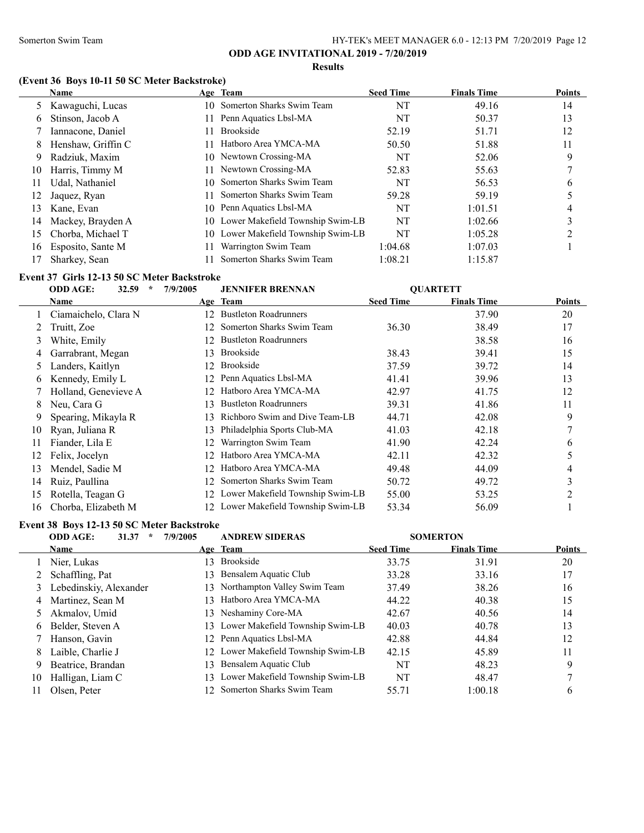#### **Results**

## **(Event 36 Boys 10-11 50 SC Meter Backstroke)**

|     | <b>Name</b>        |    | Age Team                            | <b>Seed Time</b> | <b>Finals Time</b> | <b>Points</b> |
|-----|--------------------|----|-------------------------------------|------------------|--------------------|---------------|
|     | 5 Kawaguchi, Lucas |    | 10 Somerton Sharks Swim Team        | NT               | 49.16              | 14            |
| 6   | Stinson, Jacob A   |    | Penn Aquatics Lbsl-MA               | NT               | 50.37              | 13            |
|     | Iannacone, Daniel  |    | <b>Brookside</b>                    | 52.19            | 51.71              | 12            |
| 8   | Henshaw, Griffin C |    | Hatboro Area YMCA-MA                | 50.50            | 51.88              | 11            |
| 9   | Radziuk, Maxim     |    | 10 Newtown Crossing-MA              | NT               | 52.06              | 9             |
| 10  | Harris, Timmy M    |    | 11 Newtown Crossing-MA              | 52.83            | 55.63              |               |
| 11  | Udal, Nathaniel    | 10 | Somerton Sharks Swim Team           | NT               | 56.53              | 6             |
| 12  | Jaquez, Ryan       |    | Somerton Sharks Swim Team           | 59.28            | 59.19              |               |
| 13. | Kane, Evan         |    | 10 Penn Aquatics Lbsl-MA            | NT               | 1:01.51            | 4             |
| 14  | Mackey, Brayden A  |    | 10 Lower Makefield Township Swim-LB | NT               | 1:02.66            | 3             |
| 15  | Chorba, Michael T  |    | 10 Lower Makefield Township Swim-LB | NT               | 1:05.28            |               |
| 16  | Esposito, Sante M  |    | Warrington Swim Team                | 1:04.68          | 1:07.03            |               |
|     | Sharkey, Sean      |    | Somerton Sharks Swim Team           | 1:08.21          | 1:15.87            |               |

#### **Event 37 Girls 12-13 50 SC Meter Backstroke**

|    | 32.59<br>$\star$<br><b>ODD AGE:</b> | 7/9/2005        | <b>JENNIFER BRENNAN</b>             |                  | <b>QUARTETT</b>    |        |
|----|-------------------------------------|-----------------|-------------------------------------|------------------|--------------------|--------|
|    | Name                                |                 | Age Team                            | <b>Seed Time</b> | <b>Finals Time</b> | Points |
|    | Ciamaichelo, Clara N                |                 | 12 Bustleton Roadrunners            |                  | 37.90              | 20     |
|    | Truitt, Zoe                         | 12.             | Somerton Sharks Swim Team           | 36.30            | 38.49              | 17     |
| 3  | White, Emily                        | 12.             | <b>Bustleton Roadrunners</b>        |                  | 38.58              | 16     |
| 4  | Garrabrant, Megan                   | 13              | <b>Brookside</b>                    | 38.43            | 39.41              | 15     |
| 5  | Landers, Kaitlyn                    | 12.             | <b>Brookside</b>                    | 37.59            | 39.72              | 14     |
| 6  | Kennedy, Emily L                    | 12.             | Penn Aquatics Lbsl-MA               | 41.41            | 39.96              | 13     |
|    | Holland, Genevieve A                | 12 <sup>1</sup> | Hatboro Area YMCA-MA                | 42.97            | 41.75              | 12     |
| 8  | Neu, Cara G                         | 13.             | <b>Bustleton Roadrunners</b>        | 39.31            | 41.86              | 11     |
| 9  | Spearing, Mikayla R                 | 13.             | Richboro Swim and Dive Team-LB      | 44.71            | 42.08              | 9      |
| 10 | Ryan, Juliana R                     | 13              | Philadelphia Sports Club-MA         | 41.03            | 42.18              | 7      |
| 11 | Fiander, Lila E                     | 12.             | Warrington Swim Team                | 41.90            | 42.24              | 6      |
| 12 | Felix, Jocelyn                      | 12.             | Hatboro Area YMCA-MA                | 42.11            | 42.32              | 5      |
| 13 | Mendel, Sadie M                     | 12.             | Hatboro Area YMCA-MA                | 49.48            | 44.09              | 4      |
| 14 | Ruiz, Paullina                      | 12.             | Somerton Sharks Swim Team           | 50.72            | 49.72              | 3      |
| 15 | Rotella, Teagan G                   |                 | 12 Lower Makefield Township Swim-LB | 55.00            | 53.25              | 2      |
| 16 | Chorba, Elizabeth M                 |                 | 12 Lower Makefield Township Swim-LB | 53.34            | 56.09              |        |

#### **Event 38 Boys 12-13 50 SC Meter Backstroke**

|    | <b>ODD AGE:</b><br>31.37<br>÷ | 7/9/2005 | <b>ANDREW SIDERAS</b>               |                  | <b>SOMERTON</b>    |               |
|----|-------------------------------|----------|-------------------------------------|------------------|--------------------|---------------|
|    | <b>Name</b>                   |          | Age Team                            | <b>Seed Time</b> | <b>Finals Time</b> | <b>Points</b> |
|    | Nier, Lukas                   | 3.       | <b>Brookside</b>                    | 33.75            | 31.91              | 20            |
|    | Schaffling, Pat               | l 3.     | Bensalem Aquatic Club               | 33.28            | 33.16              | 17            |
| 3  | Lebedinskiy, Alexander        |          | 13 Northampton Valley Swim Team     | 37.49            | 38.26              | 16            |
| 4  | Martinez, Sean M              | $13 -$   | Hatboro Area YMCA-MA                | 44.22            | 40.38              | 15            |
|    | Akmalov, Umid                 |          | 13 Neshaminy Core-MA                | 42.67            | 40.56              | 14            |
| 6  | Belder, Steven A              |          | 13 Lower Makefield Township Swim-LB | 40.03            | 40.78              | 13            |
|    | Hanson, Gavin                 |          | 12 Penn Aquatics Lbsl-MA            | 42.88            | 44.84              | 12            |
| 8  | Laible, Charlie J             |          | 12 Lower Makefield Township Swim-LB | 42.15            | 45.89              | 11            |
| 9  | Beatrice, Brandan             | 13.      | Bensalem Aquatic Club               | NT               | 48.23              | 9             |
| 10 | Halligan, Liam C              |          | 13 Lower Makefield Township Swim-LB | <b>NT</b>        | 48.47              |               |
|    | Olsen. Peter                  |          | 12 Somerton Sharks Swim Team        | 55.71            | 1:00.18            | 6             |
|    |                               |          |                                     |                  |                    |               |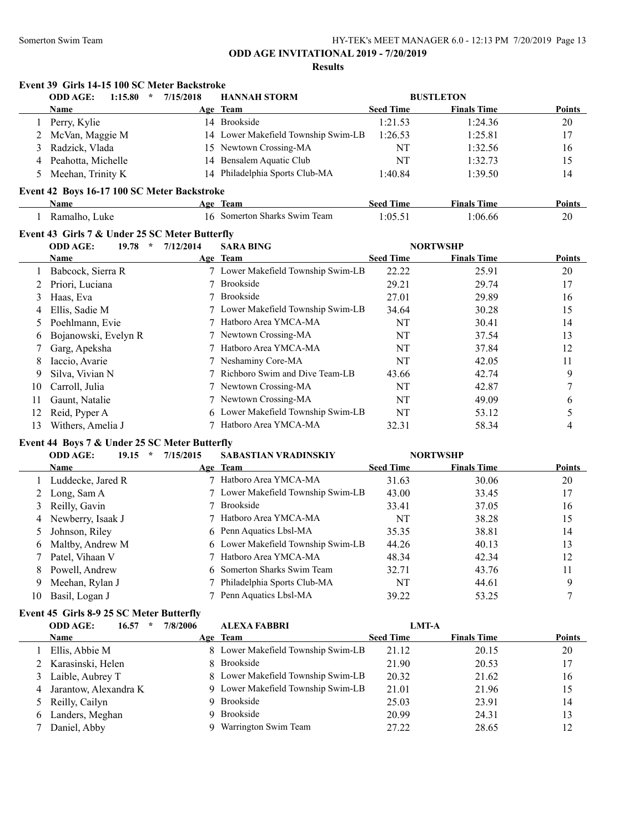### **Results**

|                | <b>ODD AGE:</b><br>1:15.80<br>$\star$          | 7/15/2018 | <b>HANNAH STORM</b>                 |                  | <b>BUSTLETON</b>   |                  |
|----------------|------------------------------------------------|-----------|-------------------------------------|------------------|--------------------|------------------|
|                | Name                                           |           | Age Team                            | <b>Seed Time</b> | <b>Finals Time</b> | Points           |
|                | 1 Perry, Kylie                                 |           | 14 Brookside                        | 1:21.53          | 1:24.36            | 20               |
| 2              | McVan, Maggie M                                |           | 14 Lower Makefield Township Swim-LB | 1:26.53          | 1:25.81            | 17               |
| 3              | Radzick, Vlada                                 | 15        | Newtown Crossing-MA                 | NT               | 1:32.56            | 16               |
| 4              | Peahotta, Michelle                             | 14        | Bensalem Aquatic Club               | NT               | 1:32.73            | 15               |
| 5              | Meehan, Trinity K                              |           | 14 Philadelphia Sports Club-MA      | 1:40.84          | 1:39.50            | 14               |
|                | Event 42 Boys 16-17 100 SC Meter Backstroke    |           |                                     |                  |                    |                  |
|                | Name                                           |           | Age Team                            | <b>Seed Time</b> | <b>Finals Time</b> | Points           |
|                | 1 Ramalho, Luke                                |           | 16 Somerton Sharks Swim Team        | 1:05.51          | 1:06.66            | 20               |
|                | Event 43 Girls 7 & Under 25 SC Meter Butterfly |           |                                     |                  |                    |                  |
|                | $\mathcal{R}$<br><b>ODD AGE:</b><br>19.78      | 7/12/2014 | <b>SARA BING</b>                    |                  | <b>NORTWSHP</b>    |                  |
|                | Name                                           |           | Age Team                            | <b>Seed Time</b> | <b>Finals Time</b> | Points           |
| 1              | Babcock, Sierra R                              |           | 7 Lower Makefield Township Swim-LB  | 22.22            | 25.91              | $20\,$           |
| 2              | Priori, Luciana                                |           | 7 Brookside                         | 29.21            | 29.74              | 17               |
| 3              | Haas, Eva                                      |           | 7 Brookside                         | 27.01            | 29.89              | 16               |
| 4              | Ellis, Sadie M                                 |           | 7 Lower Makefield Township Swim-LB  | 34.64            | 30.28              | 15               |
| 5              | Poehlmann, Evie                                | 7         | Hatboro Area YMCA-MA                | NT               | 30.41              | 14               |
| 6              | Bojanowski, Evelyn R                           | 7         | Newtown Crossing-MA                 | NT               | 37.54              | 13               |
| 7              | Garg, Apeksha                                  |           | 7 Hatboro Area YMCA-MA              | NT               | 37.84              | 12               |
| 8              | Iaccio, Avarie                                 |           | 7 Neshaminy Core-MA                 | NT               | 42.05              | 11               |
| 9              | Silva, Vivian N                                | $\tau$    | Richboro Swim and Dive Team-LB      | 43.66            | 42.74              | 9                |
| 10             | Carroll, Julia                                 | 7         | Newtown Crossing-MA                 | NT               | 42.87              | 7                |
| 11             | Gaunt, Natalie                                 |           | 7 Newtown Crossing-MA               | NT               | 49.09              | 6                |
| 12             | Reid, Pyper A                                  | 6         | Lower Makefield Township Swim-LB    | NT               | 53.12              | 5                |
| 13             | Withers, Amelia J                              |           | 7 Hatboro Area YMCA-MA              | 32.31            | 58.34              | 4                |
|                | Event 44 Boys 7 & Under 25 SC Meter Butterfly  |           |                                     |                  |                    |                  |
|                | <b>ODD AGE:</b><br>19.15<br>$\star$            | 7/15/2015 | SABASTIAN VRADINSKIY                |                  | <b>NORTWSHP</b>    |                  |
|                | <b>Name</b>                                    |           | Age Team                            | <b>Seed Time</b> | <b>Finals Time</b> | Points           |
| $\mathbf{1}$   | Luddecke, Jared R                              |           | 7 Hatboro Area YMCA-MA              | 31.63            | 30.06              | 20               |
| $\overline{2}$ | Long, Sam A                                    |           | 7 Lower Makefield Township Swim-LB  | 43.00            | 33.45              | 17               |
| 3              | Reilly, Gavin                                  | 7         | <b>Brookside</b>                    | 33.41            | 37.05              | 16               |
| 4              | Newberry, Isaak J                              | 7         | Hatboro Area YMCA-MA                | NT               | 38.28              | 15               |
| 5              | Johnson, Riley                                 | 6         | Penn Aquatics Lbsl-MA               | 35.35            | 38.81              | 14               |
| 6              | Maltby, Andrew M                               | 6         | Lower Makefield Township Swim-LB    | 44.26            | 40.13              | 13               |
| 7              | Patel, Vihaan V                                | 7         | Hatboro Area YMCA-MA                | 48.34            | 42.34              | 12               |
| 8              | Powell, Andrew                                 | 6         | Somerton Sharks Swim Team           | 32.71            | 43.76              | 11               |
| 9              | Meehan, Rylan J                                | 7         | Philadelphia Sports Club-MA         | NT               | 44.61              | 9                |
| 10             | Basil, Logan J                                 |           | 7 Penn Aquatics Lbsl-MA             | 39.22            | 53.25              | $\boldsymbol{7}$ |
|                | Event 45 Girls 8-9 25 SC Meter Butterfly       |           |                                     |                  |                    |                  |

|    | <b>ODD AGE:</b><br>16.57 | 7/8/2006 | <b>ALEXA FABBRI</b>                | <b>LMT-A</b>     |                    |        |
|----|--------------------------|----------|------------------------------------|------------------|--------------------|--------|
|    | <b>Name</b>              |          | Age Team                           | <b>Seed Time</b> | <b>Finals Time</b> | Points |
|    | Ellis, Abbie M           |          | 8 Lower Makefield Township Swim-LB | 21.12            | 20.15              | 20     |
|    | 2 Karasinski, Helen      |          | 8 Brookside                        | 21.90            | 20.53              | 17     |
|    | Laible, Aubrey T         |          | 8 Lower Makefield Township Swim-LB | 20.32            | 21.62              | 16     |
|    | Jarantow, Alexandra K    |          | 9 Lower Makefield Township Swim-LB | 21.01            | 21.96              | 15     |
|    | 5 Reilly, Cailyn         |          | 9 Brookside                        | 25.03            | 23.91              | 14     |
| 6. | Landers, Meghan          |          | 9 Brookside                        | 20.99            | 24.31              | 13     |
|    | Daniel, Abby             |          | Warrington Swim Team               | 27.22            | 28.65              | 12     |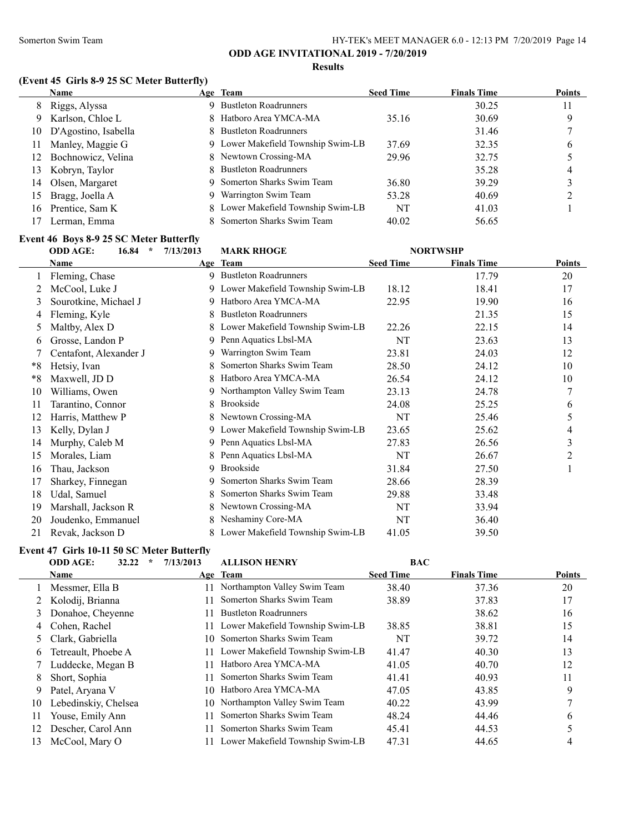#### **Results**

## **(Event 45 Girls 8-9 25 SC Meter Butterfly)**

|     | <b>Name</b>          | Age Team                           | <b>Seed Time</b> | <b>Finals Time</b> | <b>Points</b> |
|-----|----------------------|------------------------------------|------------------|--------------------|---------------|
| 8   | Riggs, Alyssa        | <b>Bustleton Roadrunners</b>       |                  | 30.25              | 11            |
| 9.  | Karlson, Chloe L     | 8 Hatboro Area YMCA-MA             | 35.16            | 30.69              |               |
| 10  | D'Agostino, Isabella | 8 Bustleton Roadrunners            |                  | 31.46              |               |
| 11  | Manley, Maggie G     | 9 Lower Makefield Township Swim-LB | 37.69            | 32.35              | 6             |
| 12  | Bochnowicz, Velina   | 8 Newtown Crossing-MA              | 29.96            | 32.75              |               |
| 13  | Kobryn, Taylor       | 8 Bustleton Roadrunners            |                  | 35.28              | 4             |
| 14  | Olsen, Margaret      | 9 Somerton Sharks Swim Team        | 36.80            | 39.29              |               |
| 15  | Bragg, Joella A      | Warrington Swim Team               | 53.28            | 40.69              |               |
| 16. | Prentice, Sam K      | 8 Lower Makefield Township Swim-LB | NT               | 41.03              |               |
|     | Lerman, Emma         | 8 Somerton Sharks Swim Team        | 40.02            | 56.65              |               |

#### **Event 46 Boys 8-9 25 SC Meter Butterfly**

| <b>ODD AGE:</b><br>$\star$<br>16.84 | 7/13/2013 | <b>MARK RHOGE</b>            |                                               |                                                                                                                                                |                 |
|-------------------------------------|-----------|------------------------------|-----------------------------------------------|------------------------------------------------------------------------------------------------------------------------------------------------|-----------------|
| <b>Name</b>                         |           |                              | <b>Seed Time</b>                              | <b>Finals Time</b>                                                                                                                             | <b>Points</b>   |
| Fleming, Chase                      |           |                              |                                               | 17.79                                                                                                                                          | 20              |
| McCool, Luke J                      |           |                              | 18.12                                         | 18.41                                                                                                                                          | 17              |
| Sourotkine, Michael J               | 9         | Hatboro Area YMCA-MA         | 22.95                                         | 19.90                                                                                                                                          | 16              |
| Fleming, Kyle                       |           | <b>Bustleton Roadrunners</b> |                                               | 21.35                                                                                                                                          | 15              |
| Maltby, Alex D                      | 8         |                              | 22.26                                         | 22.15                                                                                                                                          | 14              |
| Grosse, Landon P                    | 9         | Penn Aquatics Lbsl-MA        | NT                                            | 23.63                                                                                                                                          | 13              |
| Centafont, Alexander J              | 9         | Warrington Swim Team         | 23.81                                         | 24.03                                                                                                                                          | 12              |
| Hetsiy, Ivan                        |           | Somerton Sharks Swim Team    | 28.50                                         | 24.12                                                                                                                                          | 10              |
| Maxwell, JD D                       | 8         | Hatboro Area YMCA-MA         | 26.54                                         | 24.12                                                                                                                                          | 10              |
| Williams, Owen                      |           | Northampton Valley Swim Team | 23.13                                         | 24.78                                                                                                                                          | 7               |
| Tarantino, Connor                   | 8         | <b>Brookside</b>             | 24.08                                         | 25.25                                                                                                                                          | 6               |
| Harris, Matthew P                   |           | Newtown Crossing-MA          | NT                                            | 25.46                                                                                                                                          | 5               |
| Kelly, Dylan J                      | 9         |                              | 23.65                                         | 25.62                                                                                                                                          | 4               |
| Murphy, Caleb M                     | 9.        | Penn Aquatics Lbsl-MA        | 27.83                                         | 26.56                                                                                                                                          | 3               |
| Morales, Liam                       |           | Penn Aquatics Lbsl-MA        | NT                                            | 26.67                                                                                                                                          | 2               |
| Thau, Jackson                       | 9         | <b>Brookside</b>             | 31.84                                         | 27.50                                                                                                                                          |                 |
| Sharkey, Finnegan                   | 9         | Somerton Sharks Swim Team    | 28.66                                         | 28.39                                                                                                                                          |                 |
| Udal, Samuel                        |           | Somerton Sharks Swim Team    | 29.88                                         | 33.48                                                                                                                                          |                 |
| Marshall, Jackson R                 | 8         | Newtown Crossing-MA          | NT                                            | 33.94                                                                                                                                          |                 |
| Joudenko, Emmanuel                  |           | Neshaminy Core-MA            | NT                                            | 36.40                                                                                                                                          |                 |
| Revak, Jackson D                    |           |                              | 41.05                                         | 39.50                                                                                                                                          |                 |
|                                     |           |                              | Age Team<br>9 Bustleton Roadrunners<br>9<br>8 | 9 Lower Makefield Township Swim-LB<br>Lower Makefield Township Swim-LB<br>Lower Makefield Township Swim-LB<br>Lower Makefield Township Swim-LB | <b>NORTWSHP</b> |

## **Event 47 Girls 10-11 50 SC Meter Butterfly**

|    | <b>ODD AGE:</b><br>32.22<br>$\ast$ | 7/13/2013 | <b>ALLISON HENRY</b>                | <b>BAC</b>       |                    |               |
|----|------------------------------------|-----------|-------------------------------------|------------------|--------------------|---------------|
|    | <b>Name</b>                        |           | Age Team                            | <b>Seed Time</b> | <b>Finals Time</b> | <b>Points</b> |
|    | Messmer, Ella B                    |           | Northampton Valley Swim Team        | 38.40            | 37.36              | 20            |
|    | Kolodij, Brianna                   |           | Somerton Sharks Swim Team           | 38.89            | 37.83              | 17            |
| 3  | Donahoe, Cheyenne                  |           | <b>Bustleton Roadrunners</b>        |                  | 38.62              | 16            |
| 4  | Cohen, Rachel                      |           | Lower Makefield Township Swim-LB    | 38.85            | 38.81              | 15            |
|    | Clark, Gabriella                   | 10.       | Somerton Sharks Swim Team           | NT               | 39.72              | 14            |
| 6  | Tetreault, Phoebe A                |           | 11 Lower Makefield Township Swim-LB | 41.47            | 40.30              | 13            |
|    | Luddecke, Megan B                  |           | Hatboro Area YMCA-MA                | 41.05            | 40.70              | 12            |
| 8  | Short, Sophia                      |           | Somerton Sharks Swim Team           | 41.41            | 40.93              | 11            |
| 9  | Patel, Aryana V                    | 10        | Hatboro Area YMCA-MA                | 47.05            | 43.85              | 9             |
| 10 | Lebedinskiy, Chelsea               | 10        | Northampton Valley Swim Team        | 40.22            | 43.99              |               |
| 11 | Youse, Emily Ann                   |           | Somerton Sharks Swim Team           | 48.24            | 44.46              | 6             |
| 12 | Descher, Carol Ann                 |           | Somerton Sharks Swim Team           | 45.41            | 44.53              |               |
| 13 | McCool, Mary O                     |           | Lower Makefield Township Swim-LB    | 47.31            | 44.65              | 4             |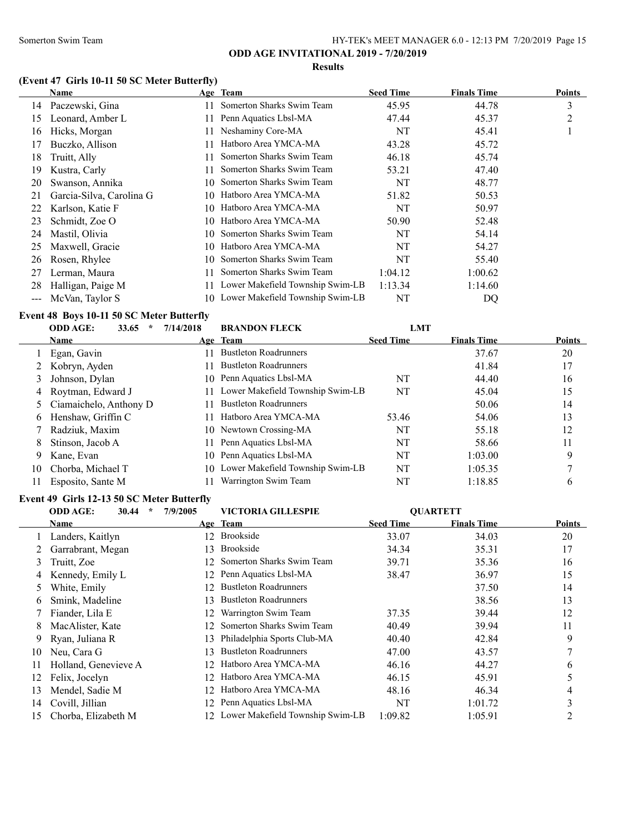#### **Results**

## **(Event 47 Girls 10-11 50 SC Meter Butterfly)**

|                   | Name                     |     | Age Team                            | <b>Seed Time</b> | <b>Finals Time</b> | <b>Points</b> |
|-------------------|--------------------------|-----|-------------------------------------|------------------|--------------------|---------------|
| 14                | Paczewski, Gina          |     | Somerton Sharks Swim Team           | 45.95            | 44.78              | 3             |
| 15                | Leonard, Amber L         | 11. | Penn Aquatics Lbsl-MA               | 47.44            | 45.37              | 2             |
| 16                | Hicks, Morgan            | 11  | Neshaminy Core-MA                   | NT               | 45.41              |               |
| 17                | Buczko, Allison          | 11  | Hatboro Area YMCA-MA                | 43.28            | 45.72              |               |
| 18                | Truitt, Ally             |     | Somerton Sharks Swim Team           | 46.18            | 45.74              |               |
| 19                | Kustra, Carly            | 11  | Somerton Sharks Swim Team           | 53.21            | 47.40              |               |
| 20                | Swanson, Annika          | 10  | Somerton Sharks Swim Team           | NT               | 48.77              |               |
| 21                | Garcia-Silva, Carolina G | 10  | Hatboro Area YMCA-MA                | 51.82            | 50.53              |               |
| 22                | Karlson, Katie F         | 10. | Hatboro Area YMCA-MA                | NT               | 50.97              |               |
| 23                | Schmidt, Zoe O           | 10. | Hatboro Area YMCA-MA                | 50.90            | 52.48              |               |
| 24                | Mastil, Olivia           | 10. | Somerton Sharks Swim Team           | NT               | 54.14              |               |
| 25                | Maxwell, Gracie          | 10. | Hatboro Area YMCA-MA                | NT               | 54.27              |               |
| 26                | Rosen, Rhylee            | 10. | Somerton Sharks Swim Team           | NT               | 55.40              |               |
| 27                | Lerman, Maura            |     | Somerton Sharks Swim Team           | 1:04.12          | 1:00.62            |               |
| 28                | Halligan, Paige M        |     | Lower Makefield Township Swim-LB    | 1:13.34          | 1:14.60            |               |
| $\qquad \qquad -$ | McVan, Taylor S          |     | 10 Lower Makefield Township Swim-LB | NT               | DO                 |               |

## **Event 48 Boys 10-11 50 SC Meter Butterfly**

|    | <b>ODD AGE:</b><br>33.65<br>÷ | 7/14/2018     | <b>BRANDON FLECK</b>                | <b>LMT</b>       |                    |               |
|----|-------------------------------|---------------|-------------------------------------|------------------|--------------------|---------------|
|    | Name                          |               | Age Team                            | <b>Seed Time</b> | <b>Finals Time</b> | <b>Points</b> |
|    | Egan, Gavin                   |               | <b>Bustleton Roadrunners</b>        |                  | 37.67              | 20            |
|    | Kobryn, Ayden                 | $\mathbf{11}$ | <b>Bustleton Roadrunners</b>        |                  | 41.84              | 17            |
|    | Johnson, Dylan                |               | 10 Penn Aquatics Lbsl-MA            | NT               | 44.40              | 16            |
| 4  | Roytman, Edward J             |               | Lower Makefield Township Swim-LB    | NT               | 45.04              | 15            |
|    | 5 Ciamaichelo, Anthony D      | 11            | <b>Bustleton Roadrunners</b>        |                  | 50.06              | 14            |
| 6  | Henshaw, Griffin C            |               | Hatboro Area YMCA-MA                | 53.46            | 54.06              | 13            |
|    | Radziuk, Maxim                |               | 10 Newtown Crossing-MA              | NT               | 55.18              | 12            |
| 8  | Stinson, Jacob A              | 11            | Penn Aquatics Lbsl-MA               | NT               | 58.66              | 11            |
| 9  | Kane, Evan                    |               | 10 Penn Aquatics Lbsl-MA            | NT               | 1:03.00            | 9             |
| 10 | Chorba, Michael T             |               | 10 Lower Makefield Township Swim-LB | NT               | 1:05.35            |               |
| 11 | Esposito, Sante M             |               | Warrington Swim Team                | NT               | 1:18.85            | 6             |

#### **Event 49 Girls 12-13 50 SC Meter Butterfly**

|    | $\star$<br><b>ODD AGE:</b><br>30.44 | 7/9/2005 | <b>VICTORIA GILLESPIE</b>           |                  | <b>OUARTETT</b>    |        |
|----|-------------------------------------|----------|-------------------------------------|------------------|--------------------|--------|
|    | Name                                |          | Age Team                            | <b>Seed Time</b> | <b>Finals Time</b> | Points |
|    | Landers, Kaitlyn                    | 12.      | <b>Brookside</b>                    | 33.07            | 34.03              | 20     |
|    | Garrabrant, Megan                   | 13       | <b>Brookside</b>                    | 34.34            | 35.31              | 17     |
| 3  | Truitt, Zoe                         | 12.      | Somerton Sharks Swim Team           | 39.71            | 35.36              | 16     |
| 4  | Kennedy, Emily L                    | 12       | Penn Aquatics Lbsl-MA               | 38.47            | 36.97              | 15     |
| 5. | White, Emily                        | 12.      | <b>Bustleton Roadrunners</b>        |                  | 37.50              | 14     |
| 6  | Smink, Madeline                     | 13       | <b>Bustleton Roadrunners</b>        |                  | 38.56              | 13     |
|    | Fiander, Lila E                     | 12       | Warrington Swim Team                | 37.35            | 39.44              | 12     |
| 8. | MacAlister, Kate                    | 12.      | Somerton Sharks Swim Team           | 40.49            | 39.94              | 11     |
| 9. | Ryan, Juliana R                     | 13.      | Philadelphia Sports Club-MA         | 40.40            | 42.84              | 9      |
| 10 | Neu, Cara G                         | 13       | <b>Bustleton Roadrunners</b>        | 47.00            | 43.57              |        |
| 11 | Holland, Genevieve A                | 12.      | Hatboro Area YMCA-MA                | 46.16            | 44.27              | 6      |
| 12 | Felix, Jocelyn                      | 12.      | Hatboro Area YMCA-MA                | 46.15            | 45.91              |        |
| 13 | Mendel, Sadie M                     | 12.      | Hatboro Area YMCA-MA                | 48.16            | 46.34              | 4      |
| 14 | Covill, Jillian                     | 12.      | Penn Aquatics Lbsl-MA               | NT               | 1:01.72            | 3      |
| 15 | Chorba, Elizabeth M                 |          | 12 Lower Makefield Township Swim-LB | 1:09.82          | 1:05.91            |        |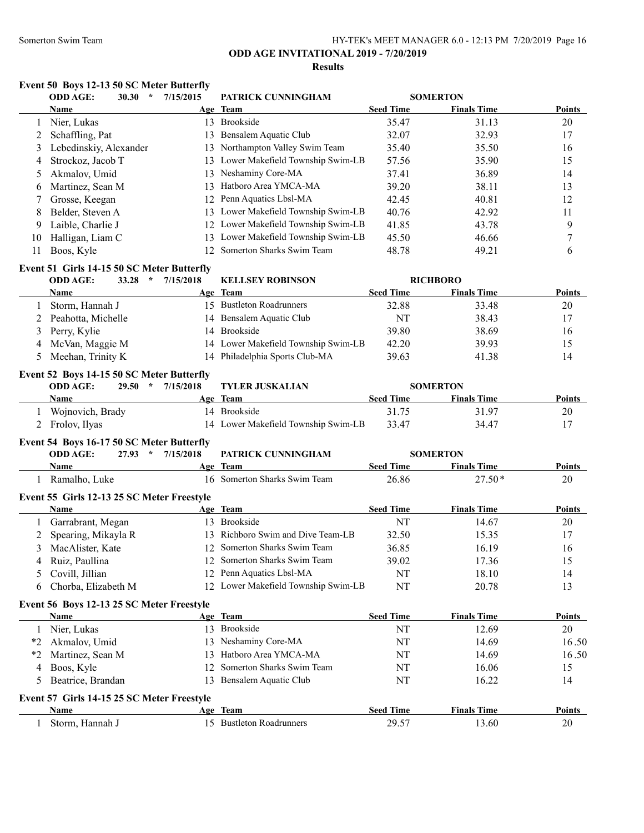#### Somerton Swim Team **HY-TEK's MEET MANAGER 6.0 - 12:13 PM 7/20/2019** Page 16

## **ODD AGE INVITATIONAL 2019 - 7/20/2019**

### **Results**

|         | <b>ODD AGE:</b><br>30.30<br>$\star$                      | 7/15/2015 | PATRICK CUNNINGHAM                  |                  | <b>SOMERTON</b>    |               |
|---------|----------------------------------------------------------|-----------|-------------------------------------|------------------|--------------------|---------------|
|         | Name                                                     |           | Age Team                            | <b>Seed Time</b> | <b>Finals Time</b> | <b>Points</b> |
| 1       | Nier, Lukas                                              |           | 13 Brookside                        | 35.47            | 31.13              | 20            |
| 2       | Schaffling, Pat                                          |           | 13 Bensalem Aquatic Club            | 32.07            | 32.93              | 17            |
| 3       | Lebedinskiy, Alexander                                   |           | 13 Northampton Valley Swim Team     | 35.40            | 35.50              | 16            |
| 4       | Strockoz, Jacob T                                        |           | 13 Lower Makefield Township Swim-LB | 57.56            | 35.90              | 15            |
| 5       | Akmalov, Umid                                            |           | 13 Neshaminy Core-MA                | 37.41            | 36.89              | 14            |
| 6       | Martinez, Sean M                                         |           | 13 Hatboro Area YMCA-MA             | 39.20            | 38.11              | 13            |
| 7       | Grosse, Keegan                                           |           | 12 Penn Aquatics Lbsl-MA            | 42.45            | 40.81              | 12            |
| 8       | Belder, Steven A                                         |           | 13 Lower Makefield Township Swim-LB | 40.76            | 42.92              | 11            |
| 9       | Laible, Charlie J                                        |           | 12 Lower Makefield Township Swim-LB | 41.85            | 43.78              | 9             |
| 10      | Halligan, Liam C                                         |           | 13 Lower Makefield Township Swim-LB | 45.50            | 46.66              | $\tau$        |
| 11      | Boos, Kyle                                               |           | 12 Somerton Sharks Swim Team        | 48.78            | 49.21              | 6             |
|         | Event 51 Girls 14-15 50 SC Meter Butterfly               |           |                                     |                  |                    |               |
|         | $33.28$ *<br><b>ODD AGE:</b>                             | 7/15/2018 | <b>KELLSEY ROBINSON</b>             |                  | <b>RICHBORO</b>    |               |
|         | <b>Name</b>                                              |           | Age Team                            | <b>Seed Time</b> | <b>Finals Time</b> | Points        |
| 1       | Storm, Hannah J                                          |           | 15 Bustleton Roadrunners            | 32.88            | 33.48              | 20            |
| 2       | Peahotta, Michelle                                       |           | 14 Bensalem Aquatic Club            | NT               | 38.43              | 17            |
| 3       | Perry, Kylie                                             |           | 14 Brookside                        | 39.80            | 38.69              | 16            |
| 4       | McVan, Maggie M                                          |           | 14 Lower Makefield Township Swim-LB | 42.20            | 39.93              | 15            |
| 5       | Meehan, Trinity K                                        |           | 14 Philadelphia Sports Club-MA      | 39.63            | 41.38              | 14            |
|         | Event 52 Boys 14-15 50 SC Meter Butterfly                |           |                                     |                  |                    |               |
|         | <b>ODD AGE:</b><br>$\star$<br>29.50                      | 7/15/2018 | <b>TYLER JUSKALIAN</b>              |                  | <b>SOMERTON</b>    |               |
|         | Name                                                     |           | Age Team                            | <b>Seed Time</b> | <b>Finals Time</b> | <b>Points</b> |
|         | 1 Wojnovich, Brady                                       |           | 14 Brookside                        | 31.75            | 31.97              | $20\,$        |
| 2       | Frolov, Ilyas                                            |           | 14 Lower Makefield Township Swim-LB | 33.47            | 34.47              | 17            |
|         | Event 54 Boys 16-17 50 SC Meter Butterfly                |           |                                     |                  |                    |               |
|         | <b>ODD AGE:</b><br>$27.93$ *                             | 7/15/2018 | PATRICK CUNNINGHAM                  |                  | <b>SOMERTON</b>    |               |
|         | Name                                                     |           | Age Team                            | <b>Seed Time</b> | <b>Finals Time</b> | Points        |
|         | 1 Ramalho, Luke                                          |           | 16 Somerton Sharks Swim Team        | 26.86            | $27.50*$           | 20            |
|         | Event 55 Girls 12-13 25 SC Meter Freestyle               |           |                                     |                  |                    |               |
|         | Name                                                     |           | Age Team                            | <b>Seed Time</b> | <b>Finals Time</b> | <b>Points</b> |
| 1       | Garrabrant, Megan                                        |           | 13 Brookside                        | NT               | 14.67              | 20            |
| 2       | Spearing, Mikayla R                                      |           | 13 Richboro Swim and Dive Team-LB   | 32.50            | 15.35              | 17            |
| 3       | MacAlister, Kate                                         |           | 12 Somerton Sharks Swim Team        | 36.85            | 16.19              | 16            |
|         | Ruiz, Paullina                                           |           | 12 Somerton Sharks Swim Team        | 39.02            | 17.36              | 15            |
| 5       | Covill, Jillian                                          |           | 12 Penn Aquatics Lbsl-MA            | NT               | 18.10              | 14            |
| 6       | Chorba, Elizabeth M                                      |           | 12 Lower Makefield Township Swim-LB | NT               | 20.78              | 13            |
|         |                                                          |           |                                     |                  |                    |               |
|         | Event 56 Boys 12-13 25 SC Meter Freestyle<br><b>Name</b> |           | Age Team                            | <b>Seed Time</b> | <b>Finals Time</b> | <b>Points</b> |
|         | 1 Nier, Lukas                                            |           | 13 Brookside                        | NT               | 12.69              | 20            |
| $*_{2}$ | Akmalov, Umid                                            |           | 13 Neshaminy Core-MA                | NT               | 14.69              | 16.50         |
| $*_{2}$ | Martinez, Sean M                                         |           | 13 Hatboro Area YMCA-MA             | NT               | 14.69              | 16.50         |
| 4       | Boos, Kyle                                               |           | 12 Somerton Sharks Swim Team        | NT               | 16.06              | 15            |
| 5       | Beatrice, Brandan                                        |           | 13 Bensalem Aquatic Club            | NT               | 16.22              | 14            |
|         |                                                          |           |                                     |                  |                    |               |
|         | Event 57 Girls 14-15 25 SC Meter Freestyle               |           |                                     |                  |                    |               |
|         | Name                                                     |           | Age Team                            | <b>Seed Time</b> | <b>Finals Time</b> | <b>Points</b> |
| 1       | Storm, Hannah J                                          |           | 15 Bustleton Roadrunners            | 29.57            | 13.60              | 20            |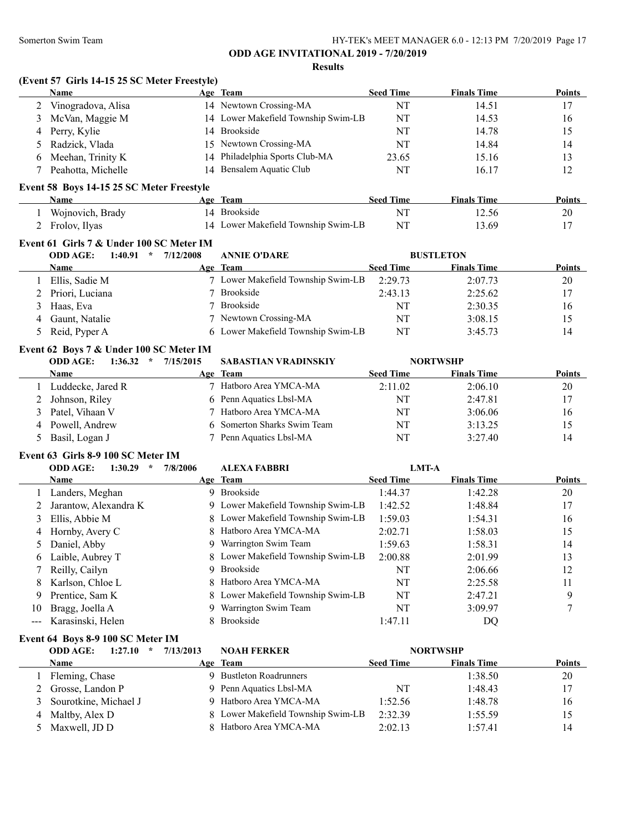#### **Results**

#### **(Event 57 Girls 14-15 25 SC Meter Freestyle)**

|   | Name               | Age Team                            | <b>Seed Time</b> | <b>Finals Time</b> | <b>Points</b> |
|---|--------------------|-------------------------------------|------------------|--------------------|---------------|
|   | Vinogradova, Alisa | 14 Newtown Crossing-MA              | NT               | 14.51              | 17            |
|   | 3 McVan, Maggie M  | 14 Lower Makefield Township Swim-LB | NT               | 14.53              | 16            |
|   | 4 Perry, Kylie     | 14 Brookside                        | NT               | 14.78              | 15            |
|   | Radzick, Vlada     | 15 Newtown Crossing-MA              | NT               | 14.84              | 14            |
| 6 | Meehan, Trinity K  | 14 Philadelphia Sports Club-MA      | 23.65            | 15.16              | 13            |
|   | Peahotta, Michelle | 14 Bensalem Aquatic Club            | NT               | 16.17              | 12            |
|   |                    |                                     |                  |                    |               |

#### **Event 58 Boys 14-15 25 SC Meter Freestyle**

| Name             | Team<br>Age                         | Seed Time  | <b>Finals Time</b> | Points |
|------------------|-------------------------------------|------------|--------------------|--------|
| Wojnovich, Brady | Brookside                           |            | 12.56              | 20     |
| 2 Frolov, Ilyas  | 14 Lower Makefield Township Swim-LB | $N^{\tau}$ | 13.69              |        |

#### **Event 61 Girls 7 & Under 100 SC Meter IM**

| <b>ODD AGE:</b><br>1:40.91<br>$\star$ | 7/12/2008<br><b>ANNIE O'DARE</b> |                                               | <b>BUSTLETON</b>   |               |
|---------------------------------------|----------------------------------|-----------------------------------------------|--------------------|---------------|
| <b>Name</b>                           | Age Team                         | <b>Seed Time</b>                              | <b>Finals Time</b> | <b>Points</b> |
| Ellis, Sadie M                        |                                  | 7 Lower Makefield Township Swim-LB<br>2:29.73 | 2:07.73            | 20            |
| 2 Priori, Luciana                     | Brookside                        | 2:43.13                                       | 2:25.62            | 17            |
| 3 Haas, Eva                           | Brookside                        | NT                                            | 2:30.35            | 16            |
| Gaunt, Natalie                        | 7 Newtown Crossing-MA            | NT                                            | 3:08.15            | 15            |
| 5 Reid, Pyper A                       |                                  | 6 Lower Makefield Township Swim-LB<br>NT      | 3:45.73            | 14            |

### **Event 62 Boys 7 & Under 100 SC Meter IM**

## **ODD AGE: 1:36.32 \* 7/15/2015 SABASTIAN VRADINSKIY NORTWSHP**

| <b>Name</b>       | Age Team                    | <b>Seed Time</b> | <b>Finals Time</b> | <b>Points</b> |
|-------------------|-----------------------------|------------------|--------------------|---------------|
| Luddecke, Jared R | 7 Hatboro Area YMCA-MA      | 2:11.02          | 2:06.10            | 20            |
| Johnson, Riley    | 6 Penn Aquatics Lbsl-MA     | NT               | 2:47.81            | 17            |
| Patel. Vihaan V   | 7 Hatboro Area YMCA-MA      | NT               | 3:06.06            | 16            |
| 4 Powell, Andrew  | 6 Somerton Sharks Swim Team | NT               | 3:13.25            | 15            |
| Basil, Logan J    | 7 Penn Aquatics Lbsl-MA     | <b>NT</b>        | 3:27.40            | 14            |

#### **Event 63 Girls 8-9 100 SC Meter IM**

|    | <b>ODD AGE:</b><br>1:30.29<br>÷ | 7/8/2006 | <b>ALEXA FABBRI</b>                | <b>LMT-A</b>     |                    |               |
|----|---------------------------------|----------|------------------------------------|------------------|--------------------|---------------|
|    | <b>Name</b>                     |          | Age Team                           | <b>Seed Time</b> | <b>Finals Time</b> | <b>Points</b> |
|    | Landers, Meghan                 | 9.       | Brookside                          | 1:44.37          | 1:42.28            | 20            |
|    | Jarantow, Alexandra K           |          | 9 Lower Makefield Township Swim-LB | 1:42.52          | 1:48.84            | 17            |
| 3  | Ellis, Abbie M                  |          | 8 Lower Makefield Township Swim-LB | 1:59.03          | 1:54.31            | 16            |
| 4  | Hornby, Avery C                 |          | 8 Hatboro Area YMCA-MA             | 2:02.71          | 1:58.03            | 15            |
|    | 5 Daniel, Abby                  | 9        | Warrington Swim Team               | 1:59.63          | 1:58.31            | 14            |
| 6  | Laible, Aubrey T                |          | 8 Lower Makefield Township Swim-LB | 2:00.88          | 2:01.99            | 13            |
|    | 7 Reilly, Cailyn                | 9.       | Brookside                          | NT               | 2:06.66            | 12            |
| 8. | Karlson, Chloe L                |          | 8 Hatboro Area YMCA-MA             | NT               | 2:25.58            | 11            |
| 9  | Prentice, Sam K                 |          | 8 Lower Makefield Township Swim-LB | NT               | 2:47.21            | 9             |
| 10 | Bragg, Joella A                 | 9.       | Warrington Swim Team               | NT               | 3:09.97            |               |
|    | Karasinski, Helen               |          | <b>Brookside</b>                   | 1:47.11          | DO                 |               |

#### **Event 64 Boys 8-9 100 SC Meter IM**

| <b>ODD AGE:</b><br>1:27.10<br>$\star$ | 7/13/2013 | <b>NOAH FERKER</b>                 |                  | <b>NORTWSHP</b>    |               |
|---------------------------------------|-----------|------------------------------------|------------------|--------------------|---------------|
| <b>Name</b>                           |           | Age Team                           | <b>Seed Time</b> | <b>Finals Time</b> | <b>Points</b> |
| Fleming, Chase                        |           | 9 Bustleton Roadrunners            |                  | 1:38.50            | 20            |
| 2 Grosse, Landon P                    |           | 9 Penn Aquatics Lbsl-MA            | NT               | 1:48.43            | 17            |
| 3 Sourotkine, Michael J               |           | 9 Hatboro Area YMCA-MA             | 1:52.56          | 1:48.78            | 16            |
| 4 Maltby, Alex D                      |           | 8 Lower Makefield Township Swim-LB | 2:32.39          | 1:55.59            | 15            |
| 5 Maxwell, JD D                       |           | 8 Hatboro Area YMCA-MA             | 2:02.13          | 1:57.41            | 14            |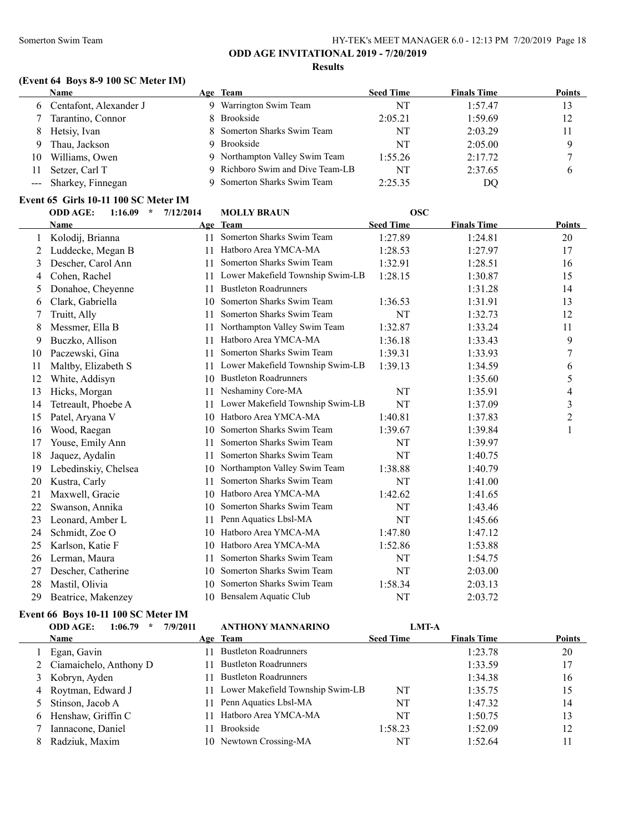## **(Event 64 Boys 8-9 100 SC Meter IM)**

|     | <b>Name</b>              | Age Team                       | <b>Seed Time</b> | <b>Finals Time</b> | <b>Points</b> |
|-----|--------------------------|--------------------------------|------------------|--------------------|---------------|
|     | 6 Centafont, Alexander J | Warrington Swim Team           | NT               | 1:57.47            | 13            |
|     | Tarantino, Connor        | Brookside                      | 2:05.21          | 1:59.69            | 12            |
| 8.  | Hetsiy, Ivan             | 8 Somerton Sharks Swim Team    | NT               | 2:03.29            | 11            |
|     | Thau, Jackson            | <b>Brookside</b>               | NT               | 2:05.00            |               |
| 10. | Williams, Owen           | 9 Northampton Valley Swim Team | 1:55.26          | 2:17.72            |               |
|     | Setzer, Carl T           | Richboro Swim and Dive Team-LB | NT               | 2:37.65            |               |
|     | --- Sharkey, Finnegan    | 9 Somerton Sharks Swim Team    | 2:25.35          | DQ                 |               |

#### **Event 65 Girls 10-11 100 SC Meter IM**

|    | <b>ODD AGE:</b><br>$1:16.09$ * | 7/12/2014 | <b>MOLLY BRAUN</b>               | <b>OSC</b>       |                    |                |
|----|--------------------------------|-----------|----------------------------------|------------------|--------------------|----------------|
|    | Name                           |           | Age Team                         | <b>Seed Time</b> | <b>Finals Time</b> | Points         |
| 1  | Kolodij, Brianna               | 11        | Somerton Sharks Swim Team        | 1:27.89          | 1:24.81            | 20             |
| 2  | Luddecke, Megan B              | 11        | Hatboro Area YMCA-MA             | 1:28.53          | 1:27.97            | 17             |
| 3  | Descher, Carol Ann             | 11        | Somerton Sharks Swim Team        | 1:32.91          | 1:28.51            | 16             |
| 4  | Cohen, Rachel                  | 11        | Lower Makefield Township Swim-LB | 1:28.15          | 1:30.87            | 15             |
| 5  | Donahoe, Cheyenne              | 11        | <b>Bustleton Roadrunners</b>     |                  | 1:31.28            | 14             |
| 6  | Clark, Gabriella               | 10        | Somerton Sharks Swim Team        | 1:36.53          | 1:31.91            | 13             |
| 7  | Truitt, Ally                   | 11        | Somerton Sharks Swim Team        | NT               | 1:32.73            | 12             |
| 8  | Messmer, Ella B                | 11        | Northampton Valley Swim Team     | 1:32.87          | 1:33.24            | 11             |
| 9  | Buczko, Allison                | 11        | Hatboro Area YMCA-MA             | 1:36.18          | 1:33.43            | 9              |
| 10 | Paczewski, Gina                | 11        | Somerton Sharks Swim Team        | 1:39.31          | 1:33.93            | 7              |
| 11 | Maltby, Elizabeth S            | 11        | Lower Makefield Township Swim-LB | 1:39.13          | 1:34.59            | 6              |
| 12 | White, Addisyn                 | 10        | <b>Bustleton Roadrunners</b>     |                  | 1:35.60            | 5              |
| 13 | Hicks, Morgan                  | 11        | Neshaminy Core-MA                | NT               | 1:35.91            | 4              |
| 14 | Tetreault, Phoebe A            | 11        | Lower Makefield Township Swim-LB | NT               | 1:37.09            | 3              |
| 15 | Patel, Aryana V                | 10        | Hatboro Area YMCA-MA             | 1:40.81          | 1:37.83            | $\overline{c}$ |
| 16 | Wood, Raegan                   | 10        | Somerton Sharks Swim Team        | 1:39.67          | 1:39.84            | 1              |
| 17 | Youse, Emily Ann               | 11.       | Somerton Sharks Swim Team        | NT               | 1:39.97            |                |
| 18 | Jaquez, Aydalin                | 11        | Somerton Sharks Swim Team        | <b>NT</b>        | 1:40.75            |                |
| 19 | Lebedinskiy, Chelsea           | 10        | Northampton Valley Swim Team     | 1:38.88          | 1:40.79            |                |
| 20 | Kustra, Carly                  | 11        | Somerton Sharks Swim Team        | NT               | 1:41.00            |                |
| 21 | Maxwell, Gracie                | 10        | Hatboro Area YMCA-MA             | 1:42.62          | 1:41.65            |                |
| 22 | Swanson, Annika                | 10        | Somerton Sharks Swim Team        | NT               | 1:43.46            |                |
| 23 | Leonard, Amber L               | 11        | Penn Aquatics Lbsl-MA            | NT               | 1:45.66            |                |
| 24 | Schmidt, Zoe O                 | 10        | Hatboro Area YMCA-MA             | 1:47.80          | 1:47.12            |                |
| 25 | Karlson, Katie F               | 10        | Hatboro Area YMCA-MA             | 1:52.86          | 1:53.88            |                |
| 26 | Lerman, Maura                  | 11        | Somerton Sharks Swim Team        | NT               | 1:54.75            |                |
| 27 | Descher, Catherine             | 10        | Somerton Sharks Swim Team        | NT               | 2:03.00            |                |
| 28 | Mastil, Olivia                 | 10        | Somerton Sharks Swim Team        | 1:58.34          | 2:03.13            |                |
| 29 | Beatrice, Makenzey             |           | 10 Bensalem Aquatic Club         | NT               | 2:03.72            |                |

## **Event 66 Boys 10-11 100 SC Meter IM**

|   | 1:06.79<br><b>ODD AGE:</b><br>$\star$ | 7/9/2011 | <b>ANTHONY MANNARINO</b>         | <b>LMT-A</b>     |                    |               |
|---|---------------------------------------|----------|----------------------------------|------------------|--------------------|---------------|
|   | <b>Name</b>                           |          | Age Team                         | <b>Seed Time</b> | <b>Finals Time</b> | <b>Points</b> |
|   | Egan, Gavin                           |          | <b>Bustleton Roadrunners</b>     |                  | 1:23.78            | 20            |
|   | 2 Ciamaichelo, Anthony D              |          | <b>Bustleton Roadrunners</b>     |                  | 1:33.59            | 17            |
|   | 3 Kobryn, Ayden                       |          | <b>Bustleton Roadrunners</b>     |                  | 1:34.38            | 16            |
|   | 4 Roytman, Edward J                   |          | Lower Makefield Township Swim-LB | NT               | 1:35.75            | 15            |
|   | 5 Stinson, Jacob A                    |          | 11 Penn Aquatics Lbsl-MA         | NT               | 1:47.32            | 14            |
| 6 | Henshaw, Griffin C                    |          | Hatboro Area YMCA-MA             | NT               | 1:50.75            | 13            |
|   | Iannacone, Daniel                     |          | Brookside                        | 1:58.23          | 1:52.09            | 12            |
|   | Radziuk, Maxim                        |          | 10 Newtown Crossing-MA           | NT               | 1:52.64            | 11            |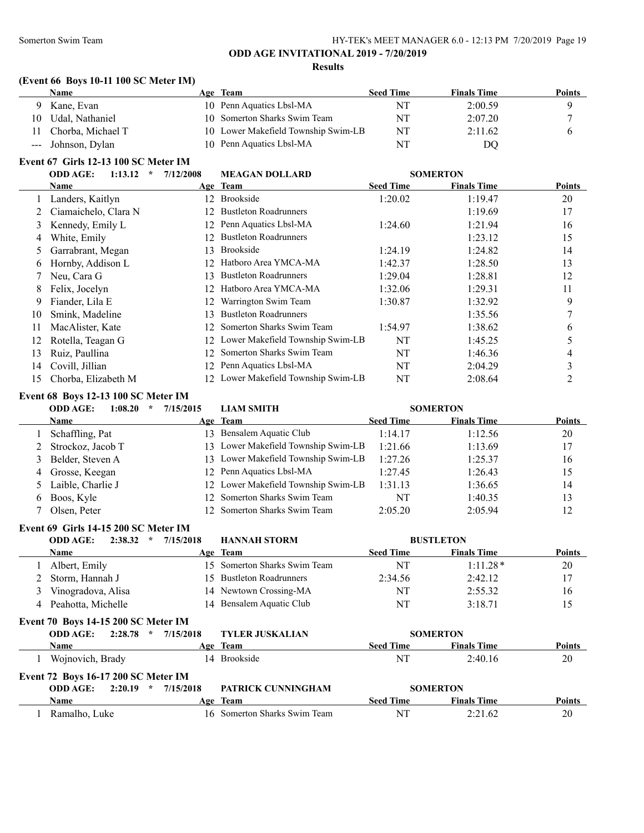## **(Event 66 Boys 10-11 100 SC Meter IM)**

|    | Name                 | Age Team                            | <b>Seed Time</b> | <b>Finals Time</b> | Points |
|----|----------------------|-------------------------------------|------------------|--------------------|--------|
|    | Kane, Evan           | 10 Penn Aquatics Lbsl-MA            | NT               | 2:00.59            |        |
| 10 | Udal, Nathaniel      | 10 Somerton Sharks Swim Team        | NT               | 2:07.20            |        |
|    | 11 Chorba, Michael T | 10 Lower Makefield Township Swim-LB | NT               | 2:11.62            |        |
|    | --- Johnson, Dylan   | 10 Penn Aquatics Lbsl-MA            | NT               | DQ                 |        |

## **Event 67 Girls 12-13 100 SC Meter IM**

|    | <b>ODD AGE:</b><br>1:13.12<br>$\star$ | 7/12/2008       | <b>MEAGAN DOLLARD</b>               |                  | <b>SOMERTON</b>    |               |
|----|---------------------------------------|-----------------|-------------------------------------|------------------|--------------------|---------------|
|    | Name                                  |                 | Age Team                            | <b>Seed Time</b> | <b>Finals Time</b> | <b>Points</b> |
|    | Landers, Kaitlyn                      | 12 <sup>1</sup> | Brookside                           | 1:20.02          | 1:19.47            | 20            |
|    | Ciamaichelo, Clara N                  |                 | 12 Bustleton Roadrunners            |                  | 1:19.69            | 17            |
| 3  | Kennedy, Emily L                      | 12.             | Penn Aquatics Lbsl-MA               | 1:24.60          | 1:21.94            | 16            |
| 4  | White, Emily                          | 12.             | <b>Bustleton Roadrunners</b>        |                  | 1:23.12            | 15            |
| 5. | Garrabrant, Megan                     | 13.             | <b>Brookside</b>                    | 1:24.19          | 1:24.82            | 14            |
| 6  | Hornby, Addison L                     | 12.             | Hatboro Area YMCA-MA                | 1:42.37          | 1:28.50            | 13            |
|    | Neu, Cara G                           | 13.             | <b>Bustleton Roadrunners</b>        | 1:29.04          | 1:28.81            | 12            |
| 8  | Felix, Jocelyn                        |                 | 12 Hatboro Area YMCA-MA             | 1:32.06          | 1:29.31            | 11            |
| 9  | Fiander, Lila E                       |                 | Warrington Swim Team                | 1:30.87          | 1:32.92            | 9             |
| 10 | Smink, Madeline                       | 13.             | <b>Bustleton Roadrunners</b>        |                  | 1:35.56            |               |
| 11 | MacAlister, Kate                      |                 | 12 Somerton Sharks Swim Team        | 1:54.97          | 1:38.62            | 6             |
| 12 | Rotella, Teagan G                     |                 | 12 Lower Makefield Township Swim-LB | NT               | 1:45.25            | 5             |
| 13 | Ruiz, Paullina                        | 12.             | Somerton Sharks Swim Team           | NT               | 1:46.36            | 4             |
| 14 | Covill, Jillian                       | 12.             | Penn Aquatics Lbsl-MA               | NT               | 2:04.29            | 3             |
| 15 | Chorba, Elizabeth M                   |                 | 12 Lower Makefield Township Swim-LB | NT               | 2:08.64            | 2             |

#### **Event 68 Boys 12-13 100 SC Meter IM**

| <b>ODD AGE:</b><br>1:08.20<br>$\star$ | 7/15/2015 | <b>LIAM SMITH</b>                   |                  | <b>SOMERTON</b>    |        |
|---------------------------------------|-----------|-------------------------------------|------------------|--------------------|--------|
| <b>Name</b>                           |           | Age Team                            | <b>Seed Time</b> | <b>Finals Time</b> | Points |
| 1 Schaffling, Pat                     |           | 13 Bensalem Aquatic Club            | 1:14.17          | 1:12.56            | 20     |
| 2 Strockoz, Jacob T                   | 13.       | Lower Makefield Township Swim-LB    | 1:21.66          | 1:13.69            | 17     |
| 3 Belder, Steven A                    |           | 13 Lower Makefield Township Swim-LB | 1:27.26          | 1:25.37            | 16     |
| 4 Grosse, Keegan                      |           | 12 Penn Aquatics Lbsl-MA            | 1:27.45          | 1:26.43            | 15     |
| 5 Laible, Charlie J                   |           | 12 Lower Makefield Township Swim-LB | 1:31.13          | 1:36.65            | 14     |
| 6 Boos, Kyle                          |           | 12 Somerton Sharks Swim Team        | NT               | 1:40.35            | 13     |
| Olsen, Peter                          |           | 12 Somerton Sharks Swim Team        | 2:05.20          | 2:05.94            | 12     |

#### **Event 69 Girls 14-15 200 SC Meter IM**

|    | 2:38.32<br><b>ODD AGE:</b><br>$\star$ | 7/15/2018 | <b>HANNAH STORM</b>          |                  | <b>BUSTLETON</b>   |               |
|----|---------------------------------------|-----------|------------------------------|------------------|--------------------|---------------|
|    | <b>Name</b>                           |           | Age Team                     | <b>Seed Time</b> | <b>Finals Time</b> | <b>Points</b> |
|    | Albert, Emily                         |           | 15 Somerton Sharks Swim Team | NT               | $1:11.28*$         | 20            |
|    | 2 Storm, Hannah J                     |           | 15 Bustleton Roadrunners     | 2:34.56          | 2:42.12            |               |
| J. | Vinogradova, Alisa                    |           | 14 Newtown Crossing-MA       | NT               | 2:55.32            | 16            |
|    | Peahotta, Michelle                    |           | 14 Bensalem Aquatic Club     | NT               | 3:18.71            |               |

## **Event 70 Boys 14-15 200 SC Meter IM**

| 2:28.78<br><b>ODD AGE:</b><br>$\star$      | 7/15/2018 | <b>TYLER JUSKALIAN</b>       |                  | <b>SOMERTON</b>    |               |  |
|--------------------------------------------|-----------|------------------------------|------------------|--------------------|---------------|--|
| <b>Name</b>                                |           | Age Team                     | <b>Seed Time</b> | <b>Finals Time</b> | <b>Points</b> |  |
| Wojnovich, Brady                           |           | 14 Brookside                 | NT               | 2:40.16            | 20            |  |
| <b>Event 72 Boys 16-17 200 SC Meter IM</b> |           |                              |                  |                    |               |  |
| 2:20.19<br><b>ODD AGE:</b><br>$\star$      | 7/15/2018 | PATRICK CUNNINGHAM           |                  | <b>SOMERTON</b>    |               |  |
| Name                                       |           | Age Team                     | <b>Seed Time</b> | <b>Finals Time</b> | <b>Points</b> |  |
| Ramalho, Luke                              |           | 16 Somerton Sharks Swim Team | NT               | 2:21.62            | 20            |  |